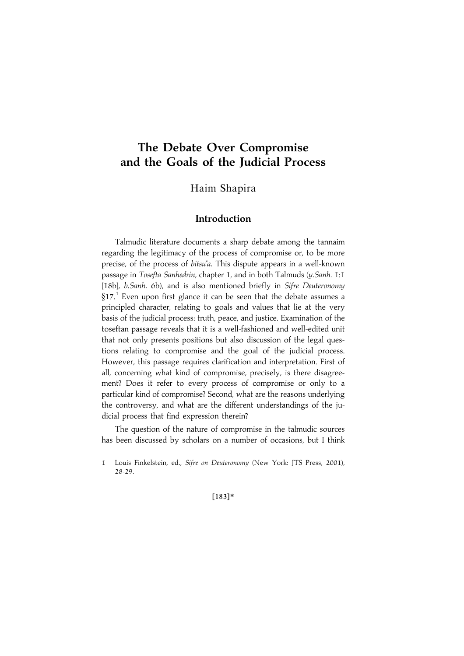# The Debate Over Compromise and the Goals of the Judicial Process

Haim Shapira

# Introduction

Talmudic literature documents a sharp debate among the tannaim regarding the legitimacy of the process of compromise or, to be more precise, of the process of bitsu'a. This dispute appears in a well-known passage in Tosefta Sanhedrin, chapter 1, and in both Talmuds (y.Sanh. 1:1 [18b], b.Sanh. 6b), and is also mentioned briefly in Sifre Deuteronomy  $§17<sup>1</sup>$  Even upon first glance it can be seen that the debate assumes a principled character, relating to goals and values that lie at the very basis of the judicial process: truth, peace, and justice. Examination of the toseftan passage reveals that it is a well-fashioned and well-edited unit that not only presents positions but also discussion of the legal questions relating to compromise and the goal of the judicial process. However, this passage requires clarification and interpretation. First of all, concerning what kind of compromise, precisely, is there disagreement? Does it refer to every process of compromise or only to a particular kind of compromise? Second, what are the reasons underlying the controversy, and what are the different understandings of the judicial process that find expression therein?

The question of the nature of compromise in the talmudic sources has been discussed by scholars on a number of occasions, but I think

 $[183]*$ 

<sup>1</sup> Louis Finkelstein, ed., Sifre on Deuteronomy (New York: JTS Press, 2001), 28-29.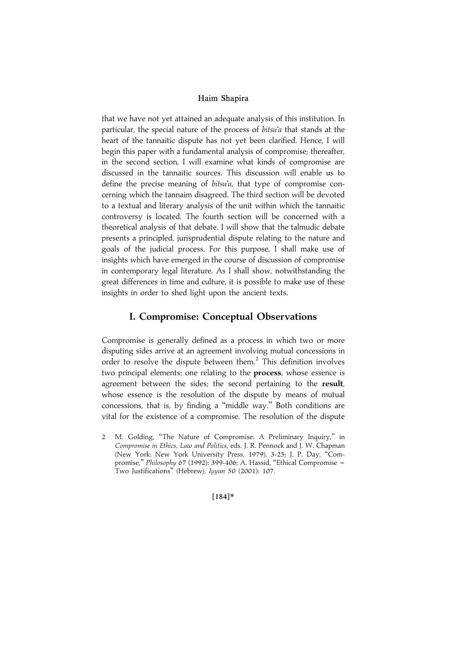that we have not yet attained an adequate analysis of this institution. In particular, the special nature of the process of bitsu'a that stands at the heart of the tannaitic dispute has not yet been clarified. Hence, I will begin this paper with a fundamental analysis of compromise; thereafter, in the second section, I will examine what kinds of compromise are discussed in the tannaitic sources. This discussion will enable us to define the precise meaning of bitsu'a, that type of compromise concerning which the tannaim disagreed. The third section will be devoted to a textual and literary analysis of the unit within which the tannaitic controversy is located. The fourth section will be concerned with a theoretical analysis of that debate. I will show that the talmudic debate presents a principled, jurisprudential dispute relating to the nature and goals of the judicial process. For this purpose, I shall make use of insights which have emerged in the course of discussion of compromise in contemporary legal literature. As I shall show, notwithstanding the great differences in time and culture, it is possible to make use of these insights in order to shed light upon the ancient texts.

## I. Compromise: Conceptual Observations

Compromise is generally defined as a process in which two or more disputing sides arrive at an agreement involving mutual concessions in order to resolve the dispute between them. $<sup>2</sup>$  This definition involves</sup> two principal elements: one relating to the **process**, whose essence is agreement between the sides; the second pertaining to the result, whose essence is the resolution of the dispute by means of mutual concessions, that is, by finding a ''middle way.'' Both conditions are vital for the existence of a compromise. The resolution of the dispute

 $[184]*$ 

<sup>2</sup> M. Golding, ''The Nature of Compromise: A Preliminary Inquiry,'' in Compromise in Ethics, Law and Politics, eds. J. R. Pennock and J. W. Chapman (New York: New York University Press, 1979), 3-25; J. P. Day, ''Compromise," Philosophy 67 (1992): 399-406; A. Hassid, "Ethical Compromise -Two Justifications'' (Hebrew), Iyyun 50 (2001): 107.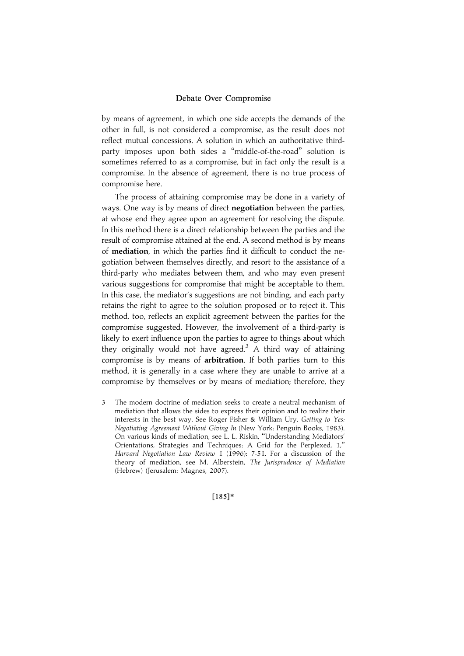by means of agreement, in which one side accepts the demands of the other in full, is not considered a compromise, as the result does not reflect mutual concessions. A solution in which an authoritative thirdparty imposes upon both sides a ''middle-of-the-road'' solution is sometimes referred to as a compromise, but in fact only the result is a compromise. In the absence of agreement, there is no true process of compromise here.

The process of attaining compromise may be done in a variety of ways. One way is by means of direct **negotiation** between the parties, at whose end they agree upon an agreement for resolving the dispute. In this method there is a direct relationship between the parties and the result of compromise attained at the end. A second method is by means of mediation, in which the parties find it difficult to conduct the negotiation between themselves directly, and resort to the assistance of a third-party who mediates between them, and who may even present various suggestions for compromise that might be acceptable to them. In this case, the mediator's suggestions are not binding, and each party retains the right to agree to the solution proposed or to reject it. This method, too, reflects an explicit agreement between the parties for the compromise suggested. However, the involvement of a third-party is likely to exert influence upon the parties to agree to things about which they originally would not have agreed.<sup>3</sup> A third way of attaining compromise is by means of arbitration. If both parties turn to this method, it is generally in a case where they are unable to arrive at a compromise by themselves or by means of mediation; therefore, they

3 The modern doctrine of mediation seeks to create a neutral mechanism of mediation that allows the sides to express their opinion and to realize their interests in the best way. See Roger Fisher & William Ury, Getting to Yes: Negotiating Agreement Without Giving In (New York: Penguin Books, 1983). On various kinds of mediation, see L. L. Riskin, ''Understanding Mediators' Orientations, Strategies and Techniques: A Grid for the Perplexed, 1,'' Harvard Negotiation Law Review 1 (1996): 7-51. For a discussion of the theory of mediation, see M. Alberstein, The Jurisprudence of Mediation (Hebrew) (Jerusalem: Magnes, 2007).

 $[185]*$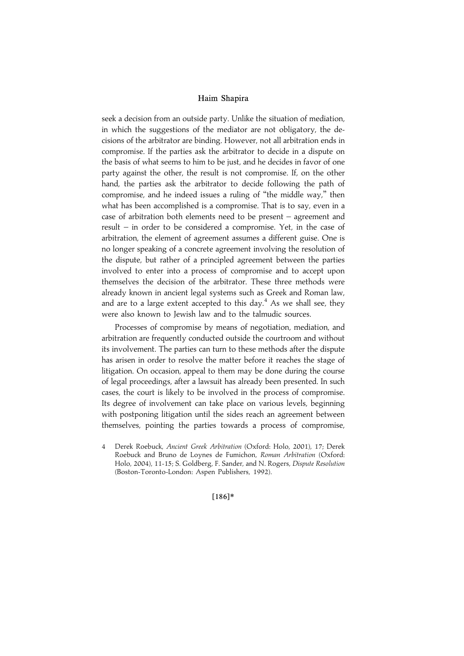seek a decision from an outside party. Unlike the situation of mediation, in which the suggestions of the mediator are not obligatory, the decisions of the arbitrator are binding. However, not all arbitration ends in compromise. If the parties ask the arbitrator to decide in a dispute on the basis of what seems to him to be just, and he decides in favor of one party against the other, the result is not compromise. If, on the other hand, the parties ask the arbitrator to decide following the path of compromise, and he indeed issues a ruling of ''the middle way,'' then what has been accomplished is a compromise. That is to say, even in a case of arbitration both elements need to be present – agreement and result – in order to be considered a compromise. Yet, in the case of arbitration, the element of agreement assumes a different guise. One is no longer speaking of a concrete agreement involving the resolution of the dispute, but rather of a principled agreement between the parties involved to enter into a process of compromise and to accept upon themselves the decision of the arbitrator. These three methods were already known in ancient legal systems such as Greek and Roman law, and are to a large extent accepted to this day.<sup>4</sup> As we shall see, they were also known to Jewish law and to the talmudic sources.

Processes of compromise by means of negotiation, mediation, and arbitration are frequently conducted outside the courtroom and without its involvement. The parties can turn to these methods after the dispute has arisen in order to resolve the matter before it reaches the stage of litigation. On occasion, appeal to them may be done during the course of legal proceedings, after a lawsuit has already been presented. In such cases, the court is likely to be involved in the process of compromise. Its degree of involvement can take place on various levels, beginning with postponing litigation until the sides reach an agreement between themselves, pointing the parties towards a process of compromise,

4 Derek Roebuck, Ancient Greek Arbitration (Oxford: Holo, 2001), 17; Derek Roebuck and Bruno de Loynes de Fumichon, Roman Arbitration (Oxford: Holo, 2004), 11-15; S. Goldberg, F. Sander, and N. Rogers, Dispute Resolution (Boston-Toronto-London: Aspen Publishers, 1992).

#### $[186]*$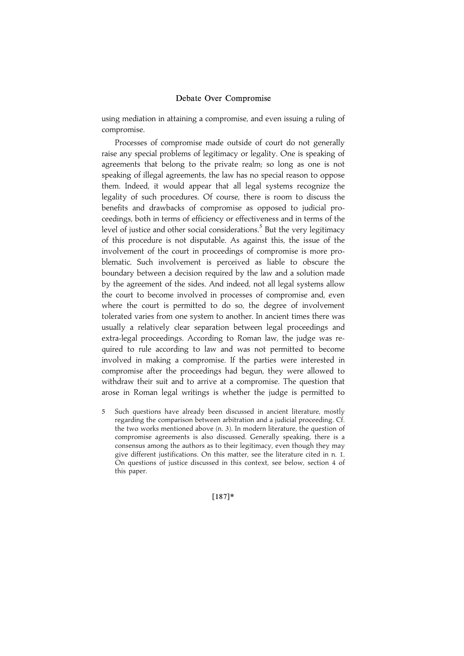using mediation in attaining a compromise, and even issuing a ruling of compromise.

Processes of compromise made outside of court do not generally raise any special problems of legitimacy or legality. One is speaking of agreements that belong to the private realm; so long as one is not speaking of illegal agreements, the law has no special reason to oppose them. Indeed, it would appear that all legal systems recognize the legality of such procedures. Of course, there is room to discuss the benefits and drawbacks of compromise as opposed to judicial proceedings, both in terms of efficiency or effectiveness and in terms of the level of justice and other social considerations.<sup>5</sup> But the very legitimacy of this procedure is not disputable. As against this, the issue of the involvement of the court in proceedings of compromise is more problematic. Such involvement is perceived as liable to obscure the boundary between a decision required by the law and a solution made by the agreement of the sides. And indeed, not all legal systems allow the court to become involved in processes of compromise and, even where the court is permitted to do so, the degree of involvement tolerated varies from one system to another. In ancient times there was usually a relatively clear separation between legal proceedings and extra-legal proceedings. According to Roman law, the judge was required to rule according to law and was not permitted to become involved in making a compromise. If the parties were interested in compromise after the proceedings had begun, they were allowed to withdraw their suit and to arrive at a compromise. The question that arose in Roman legal writings is whether the judge is permitted to

5 Such questions have already been discussed in ancient literature, mostly regarding the comparison between arbitration and a judicial proceeding. Cf. the two works mentioned above (n. 3). In modern literature, the question of compromise agreements is also discussed. Generally speaking, there is a consensus among the authors as to their legitimacy, even though they may give different justifications. On this matter, see the literature cited in n. 1. On questions of justice discussed in this context, see below, section 4 of this paper.

|187~\*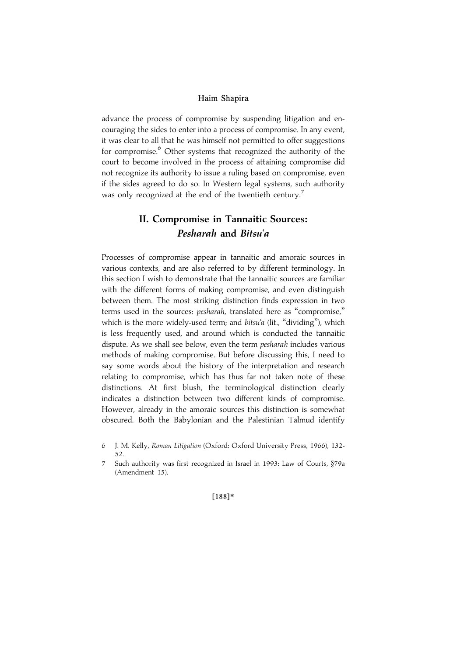advance the process of compromise by suspending litigation and encouraging the sides to enter into a process of compromise. In any event, it was clear to all that he was himself not permitted to offer suggestions for compromise.<sup>6</sup> Other systems that recognized the authority of the court to become involved in the process of attaining compromise did not recognize its authority to issue a ruling based on compromise, even if the sides agreed to do so. In Western legal systems, such authority was only recognized at the end of the twentieth century.<sup>7</sup>

# II. Compromise in Tannaitic Sources: Pesharah and Bitsu'a

Processes of compromise appear in tannaitic and amoraic sources in various contexts, and are also referred to by different terminology. In this section I wish to demonstrate that the tannaitic sources are familiar with the different forms of making compromise, and even distinguish between them. The most striking distinction finds expression in two terms used in the sources: pesharah, translated here as ''compromise,'' which is the more widely-used term; and bitsu'a (lit., "dividing"), which is less frequently used, and around which is conducted the tannaitic dispute. As we shall see below, even the term *pesharah* includes various methods of making compromise. But before discussing this, I need to say some words about the history of the interpretation and research relating to compromise, which has thus far not taken note of these distinctions. At first blush, the terminological distinction clearly indicates a distinction between two different kinds of compromise. However, already in the amoraic sources this distinction is somewhat obscured. Both the Babylonian and the Palestinian Talmud identify

 $[188]*$ 

<sup>6</sup> J. M. Kelly, Roman Litigation (Oxford: Oxford University Press, 1966), 132- 52.

<sup>7</sup> Such authority was first recognized in Israel in 1993: Law of Courts, §79a (Amendment 15).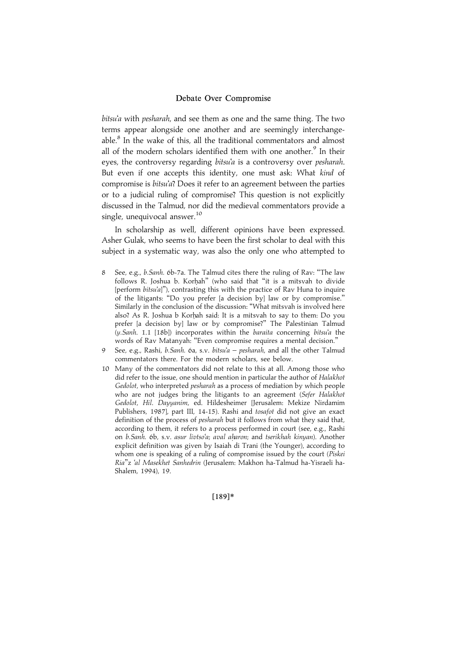bitsu'a with pesharah, and see them as one and the same thing. The two terms appear alongside one another and are seemingly interchangeable. $8$  In the wake of this, all the traditional commentators and almost all of the modern scholars identified them with one another.<sup>9</sup> In their eyes, the controversy regarding bitsu'a is a controversy over pesharah. But even if one accepts this identity, one must ask: What kind of compromise is bitsu'a? Does it refer to an agreement between the parties or to a judicial ruling of compromise? This question is not explicitly discussed in the Talmud, nor did the medieval commentators provide a single, unequivocal answer.<sup>10</sup>

In scholarship as well, different opinions have been expressed. Asher Gulak, who seems to have been the first scholar to deal with this subject in a systematic way, was also the only one who attempted to

- 8 See, e.g., b.Sanh. 6b-7a. The Talmud cites there the ruling of Rav: "The law follows R. Joshua b. Korhah" (who said that "it is a mitsvah to divide [perform bitsu'a]"), contrasting this with the practice of Rav Huna to inquire of the litigants: ''Do you prefer [a decision by] law or by compromise.'' Similarly in the conclusion of the discussion: ''What mitsvah is involved here also? As R. Joshua b Korhah said: It is a mitsvah to say to them: Do you prefer [a decision by] law or by compromise?'' The Palestinian Talmud (y.Sanh. 1.1 [18b]) incorporates within the baraita concerning bitsu'a the words of Rav Matanyah: ''Even compromise requires a mental decision.''
- 9 See, e.g., Rashi, b.Sanh. 6a, s.v. bitsu'a pesharah, and all the other Talmud commentators there. For the modern scholars, see below.
- 10 Many of the commentators did not relate to this at all. Among those who did refer to the issue, one should mention in particular the author of Halakhot Gedolot, who interpreted pesharah as a process of mediation by which people who are not judges bring the litigants to an agreement (Sefer Halakhot Gedolot, Hil. Dayyanim, ed. Hildesheimer [Jerusalem: Mekize Nirdamim Publishers, 1987], part III, 14-15). Rashi and tosafot did not give an exact definition of the process of pesharah but it follows from what they said that, according to them, it refers to a process performed in court (see, e.g., Rashi on b. Sanh. 6b, s.v. asur livtso'a; aval aharon; and tserikhah kinyan). Another explicit definition was given by Isaiah di Trani (the Younger), according to whom one is speaking of a ruling of compromise issued by the court (Piskei Ria''z 'al Masekhet Sanhedrin (Jerusalem: Makhon ha-Talmud ha-Yisraeli ha-Shalem, 1994), 19.

[189]\*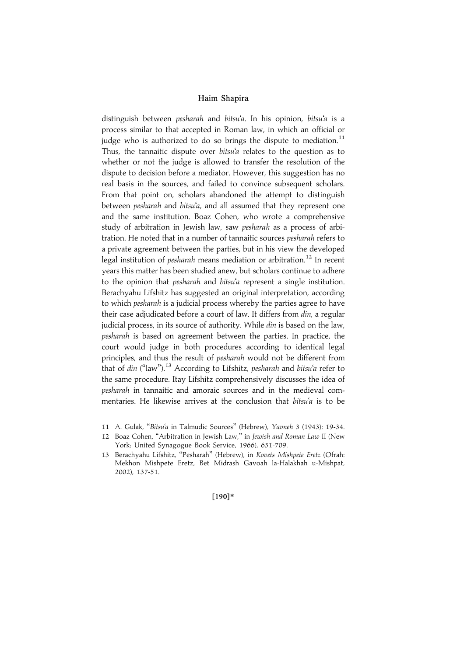distinguish between pesharah and bitsu'a. In his opinion, bitsu'a is a process similar to that accepted in Roman law, in which an official or judge who is authorized to do so brings the dispute to mediation.<sup>11</sup> Thus, the tannaitic dispute over bitsu'a relates to the question as to whether or not the judge is allowed to transfer the resolution of the dispute to decision before a mediator. However, this suggestion has no real basis in the sources, and failed to convince subsequent scholars. From that point on, scholars abandoned the attempt to distinguish between *pesharah* and bitsu'a, and all assumed that they represent one and the same institution. Boaz Cohen, who wrote a comprehensive study of arbitration in Jewish law, saw pesharah as a process of arbitration. He noted that in a number of tannaitic sources *pesharah* refers to a private agreement between the parties, but in his view the developed legal institution of *pesharah* means mediation or arbitration.<sup>12</sup> In recent years this matter has been studied anew, but scholars continue to adhere to the opinion that *pesharah* and bitsu'a represent a single institution. Berachyahu Lifshitz has suggested an original interpretation, according to which *pesharah* is a judicial process whereby the parties agree to have their case adjudicated before a court of law. It differs from *din*, a regular judicial process, in its source of authority. While din is based on the law, pesharah is based on agreement between the parties. In practice, the court would judge in both procedures according to identical legal principles, and thus the result of pesharah would not be different from that of din ("law").<sup>13</sup> According to Lifshitz, pesharah and bitsu'a refer to the same procedure. Itay Lifshitz comprehensively discusses the idea of pesharah in tannaitic and amoraic sources and in the medieval commentaries. He likewise arrives at the conclusion that bitsu'a is to be

 $[190]*$ 

<sup>11</sup> A. Gulak, "Bitsu'a in Talmudic Sources" (Hebrew), Yavneh 3 (1943): 19-34.

<sup>12</sup> Boaz Cohen, "Arbitration in Jewish Law," in Jewish and Roman Law II (New York: United Synagogue Book Service, 1966), 651-709.

<sup>13</sup> Berachyahu Lifshitz, "Pesharah" (Hebrew), in Kovets Mishpete Eretz (Ofrah: Mekhon Mishpete Eretz, Bet Midrash Gavoah la-Halakhah u-Mishpat, 2002), 137-51.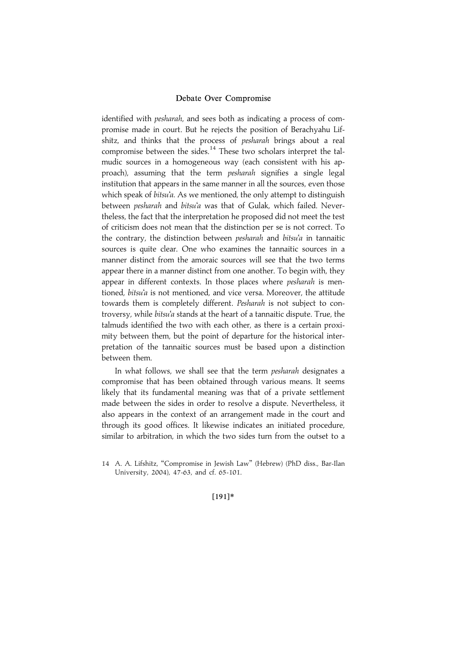identified with *pesharah*, and sees both as indicating a process of compromise made in court. But he rejects the position of Berachyahu Lifshitz, and thinks that the process of pesharah brings about a real compromise between the sides.<sup>14</sup> These two scholars interpret the talmudic sources in a homogeneous way (each consistent with his approach), assuming that the term pesharah signifies a single legal institution that appears in the same manner in all the sources, even those which speak of bitsu'a. As we mentioned, the only attempt to distinguish between pesharah and bitsu'a was that of Gulak, which failed. Nevertheless, the fact that the interpretation he proposed did not meet the test of criticism does not mean that the distinction per se is not correct. To the contrary, the distinction between *pesharah* and *bitsu'a* in tannaitic sources is quite clear. One who examines the tannaitic sources in a manner distinct from the amoraic sources will see that the two terms appear there in a manner distinct from one another. To begin with, they appear in different contexts. In those places where *pesharah* is mentioned, bitsu'a is not mentioned, and vice versa. Moreover, the attitude towards them is completely different. Pesharah is not subject to controversy, while bitsu'a stands at the heart of a tannaitic dispute. True, the talmuds identified the two with each other, as there is a certain proximity between them, but the point of departure for the historical interpretation of the tannaitic sources must be based upon a distinction between them.

In what follows, we shall see that the term pesharah designates a compromise that has been obtained through various means. It seems likely that its fundamental meaning was that of a private settlement made between the sides in order to resolve a dispute. Nevertheless, it also appears in the context of an arrangement made in the court and through its good offices. It likewise indicates an initiated procedure, similar to arbitration, in which the two sides turn from the outset to a

#### |191~\*

<sup>14</sup> A. A. Lifshitz, "Compromise in Jewish Law" (Hebrew) (PhD diss., Bar-Ilan University, 2004), 47-63, and cf. 65-101.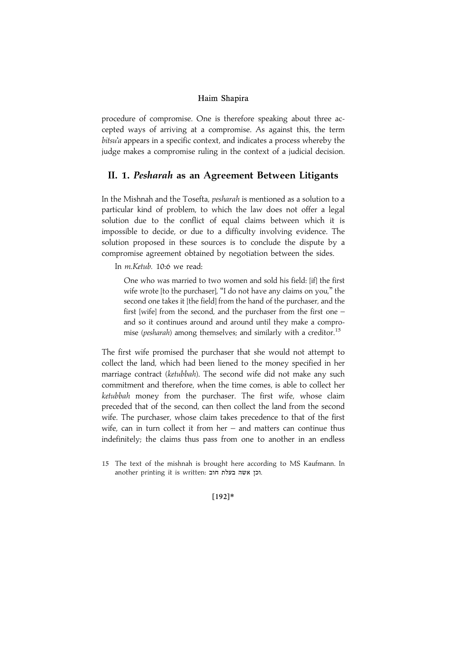procedure of compromise. One is therefore speaking about three accepted ways of arriving at a compromise. As against this, the term bitsu'a appears in a specific context, and indicates a process whereby the judge makes a compromise ruling in the context of a judicial decision.

## II. 1. Pesharah as an Agreement Between Litigants

In the Mishnah and the Tosefta, pesharah is mentioned as a solution to a particular kind of problem, to which the law does not offer a legal solution due to the conflict of equal claims between which it is impossible to decide, or due to a difficulty involving evidence. The solution proposed in these sources is to conclude the dispute by a compromise agreement obtained by negotiation between the sides.

In m.Ketub. 10:6 we read:

One who was married to two women and sold his field: [if] the first wife wrote [to the purchaser], ''I do not have any claims on you,'' the second one takes it [the field] from the hand of the purchaser, and the first [wife] from the second, and the purchaser from the first one – and so it continues around and around until they make a compromise (*pesharah*) among themselves; and similarly with a creditor.<sup>15</sup>

The first wife promised the purchaser that she would not attempt to collect the land, which had been liened to the money specified in her marriage contract (ketubbah). The second wife did not make any such commitment and therefore, when the time comes, is able to collect her ketubbah money from the purchaser. The first wife, whose claim preceded that of the second, can then collect the land from the second wife. The purchaser, whose claim takes precedence to that of the first wife, can in turn collect it from her – and matters can continue thus indefinitely; the claims thus pass from one to another in an endless

#### |192~\*

<sup>15</sup> The text of the mishnah is brought here according to MS Kaufmann. In another printing it is written: רכן אשה בעלת חוב.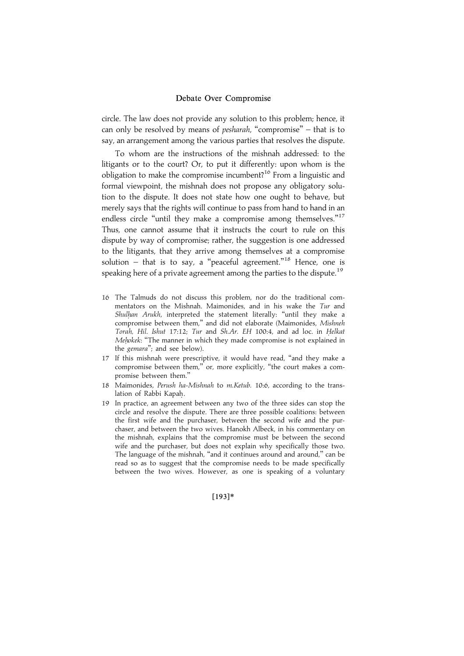circle. The law does not provide any solution to this problem; hence, it can only be resolved by means of pesharah, ''compromise'' – that is to say, an arrangement among the various parties that resolves the dispute.

To whom are the instructions of the mishnah addressed: to the litigants or to the court? Or, to put it differently: upon whom is the obligation to make the compromise incumbent?<sup>16</sup> From a linguistic and formal viewpoint, the mishnah does not propose any obligatory solution to the dispute. It does not state how one ought to behave, but merely says that the rights will continue to pass from hand to hand in an endless circle "until they make a compromise among themselves."<sup>17</sup> Thus, one cannot assume that it instructs the court to rule on this dispute by way of compromise; rather, the suggestion is one addressed to the litigants, that they arrive among themselves at a compromise solution – that is to say, a "peaceful agreement."<sup>18</sup> Hence, one is speaking here of a private agreement among the parties to the dispute.<sup>19</sup>

- 16 The Talmuds do not discuss this problem, nor do the traditional commentators on the Mishnah. Maimonides, and in his wake the Tur and Shulhan Arukh, interpreted the statement literally: "until they make a compromise between them,'' and did not elaborate (Maimonides, Mishneh Torah, Hil. Ishut 17:12; Tur and Sh.Ar. EH 100:4, and ad loc. in Helkat Mehokek: "The manner in which they made compromise is not explained in the gemara''; and see below).
- 17 If this mishnah were prescriptive, it would have read, ''and they make a compromise between them,'' or, more explicitly, ''the court makes a compromise between them.''
- 18 Maimonides, Perush ha-Mishnah to m.Ketub. 10:6, according to the translation of Rabbi Kapah.
- 19 In practice, an agreement between any two of the three sides can stop the circle and resolve the dispute. There are three possible coalitions: between the first wife and the purchaser, between the second wife and the purchaser, and between the two wives. Hanokh Albeck, in his commentary on the mishnah, explains that the compromise must be between the second wife and the purchaser, but does not explain why specifically those two. The language of the mishnah, ''and it continues around and around,'' can be read so as to suggest that the compromise needs to be made specifically between the two wives. However, as one is speaking of a voluntary

#### |193~\*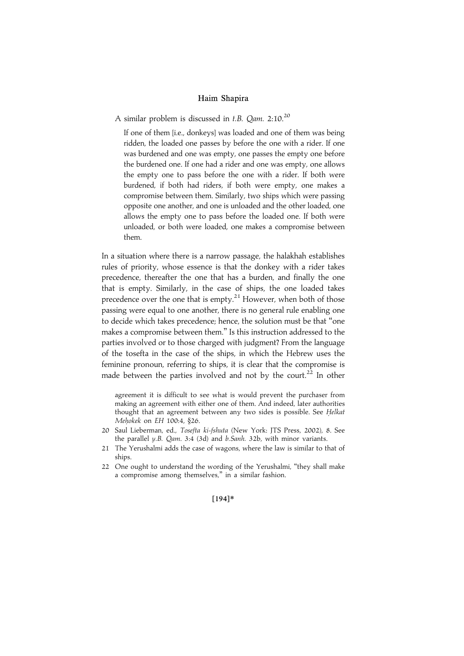A similar problem is discussed in  $t.B.$  Qam. 2:10.<sup>20</sup>

If one of them [i.e., donkeys] was loaded and one of them was being ridden, the loaded one passes by before the one with a rider. If one was burdened and one was empty, one passes the empty one before the burdened one. If one had a rider and one was empty, one allows the empty one to pass before the one with a rider. If both were burdened, if both had riders, if both were empty, one makes a compromise between them. Similarly, two ships which were passing opposite one another, and one is unloaded and the other loaded, one allows the empty one to pass before the loaded one. If both were unloaded, or both were loaded, one makes a compromise between them.

In a situation where there is a narrow passage, the halakhah establishes rules of priority, whose essence is that the donkey with a rider takes precedence, thereafter the one that has a burden, and finally the one that is empty. Similarly, in the case of ships, the one loaded takes precedence over the one that is empty.<sup>21</sup> However, when both of those passing were equal to one another, there is no general rule enabling one to decide which takes precedence; hence, the solution must be that ''one makes a compromise between them.'' Is this instruction addressed to the parties involved or to those charged with judgment? From the language of the tosefta in the case of the ships, in which the Hebrew uses the feminine pronoun, referring to ships, it is clear that the compromise is made between the parties involved and not by the court.<sup>22</sup> In other

agreement it is difficult to see what is would prevent the purchaser from making an agreement with either one of them. And indeed, later authorities thought that an agreement between any two sides is possible. See Helkat Mehokek on EH 100:4, §26.

- 20 Saul Lieberman, ed., Tosefta ki-fshuta (New York: JTS Press, 2002), 8. See the parallel y.B. Qam. 3:4 (3d) and b.Sanh. 32b, with minor variants.
- 21 The Yerushalmi adds the case of wagons, where the law is similar to that of ships.
- 22 One ought to understand the wording of the Yerushalmi, ''they shall make a compromise among themselves,'' in a similar fashion.

#### [194]\*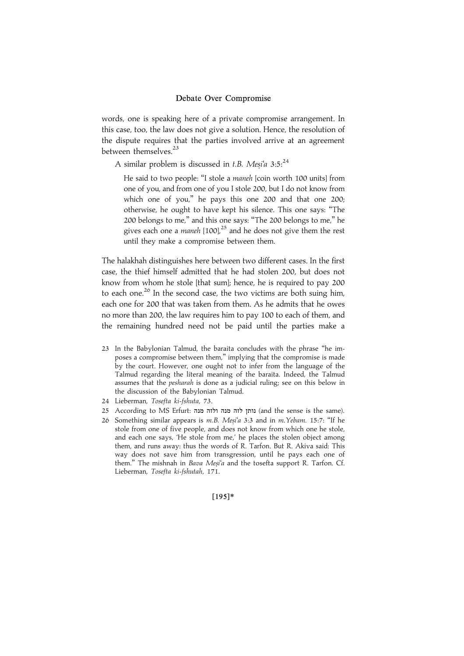words, one is speaking here of a private compromise arrangement. In this case, too, the law does not give a solution. Hence, the resolution of the dispute requires that the parties involved arrive at an agreement between themselves.<sup>23</sup>

A similar problem is discussed in t.B. Mesi'a  $3:5.^{24}$ 

He said to two people: "I stole a maneh [coin worth 100 units] from one of you, and from one of you I stole 200, but I do not know from which one of you,'' he pays this one 200 and that one 200; otherwise, he ought to have kept his silence. This one says: ''The 200 belongs to me,'' and this one says: ''The 200 belongs to me,'' he gives each one a *maneh*  $[100]$ ,<sup>25</sup> and he does not give them the rest until they make a compromise between them.

The halakhah distinguishes here between two different cases. In the first case, the thief himself admitted that he had stolen 200, but does not know from whom he stole [that sum]; hence, he is required to pay 200 to each one.<sup>26</sup> In the second case, the two victims are both suing him, each one for 200 that was taken from them. As he admits that he owes no more than 200, the law requires him to pay 100 to each of them, and the remaining hundred need not be paid until the parties make a

- 23 In the Babylonian Talmud, the baraita concludes with the phrase ''he imposes a compromise between them,'' implying that the compromise is made by the court. However, one ought not to infer from the language of the Talmud regarding the literal meaning of the baraita. Indeed, the Talmud assumes that the pesharah is done as a judicial ruling; see on this below in the discussion of the Babylonian Talmud.
- 24 Lieberman, Tosefta ki-fshuta, 73.
- 25 According to MS Erfurt: נותן לזה מנה ולזה מנה (and the sense is the same).
- 26 Something similar appears is m.B. Mesi'a 3:3 and in m. Yebam. 15:7: "If he stole from one of five people, and does not know from which one he stole, and each one says, 'He stole from me,' he places the stolen object among them, and runs away: thus the words of R. Tarfon. But R. Akiva said: This way does not save him from transgression, until he pays each one of them." The mishnah in Bava Mesi'a and the tosefta support R. Tarfon. Cf. Lieberman, Tosefta ki-fshutah, 171.

[195]\*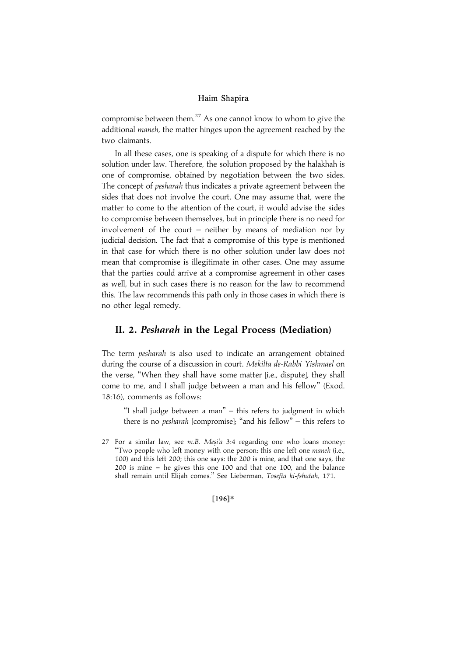compromise between them. $^{27}$  As one cannot know to whom to give the additional maneh, the matter hinges upon the agreement reached by the two claimants.

In all these cases, one is speaking of a dispute for which there is no solution under law. Therefore, the solution proposed by the halakhah is one of compromise, obtained by negotiation between the two sides. The concept of *pesharah* thus indicates a private agreement between the sides that does not involve the court. One may assume that, were the matter to come to the attention of the court, it would advise the sides to compromise between themselves, but in principle there is no need for involvement of the court – neither by means of mediation nor by judicial decision. The fact that a compromise of this type is mentioned in that case for which there is no other solution under law does not mean that compromise is illegitimate in other cases. One may assume that the parties could arrive at a compromise agreement in other cases as well, but in such cases there is no reason for the law to recommend this. The law recommends this path only in those cases in which there is no other legal remedy.

# II. 2. Pesharah in the Legal Process (Mediation)

The term pesharah is also used to indicate an arrangement obtained during the course of a discussion in court. Mekilta de-Rabbi Yishmael on the verse, ''When they shall have some matter [i.e., dispute], they shall come to me, and I shall judge between a man and his fellow'' (Exod. 18:16), comments as follows:

"I shall judge between a man" - this refers to judgment in which there is no *pesharah* [compromise]; "and his fellow" – this refers to

#### $[196]*$

<sup>27</sup> For a similar law, see  $m.B.$  Mesi'a 3:4 regarding one who loans money: ''Two people who left money with one person: this one left one maneh (i.e., 100) and this left 200; this one says: the 200 is mine, and that one says, the  $200$  is mine  $-$  he gives this one 100 and that one 100, and the balance shall remain until Elijah comes.'' See Lieberman, Tosefta ki-fshutah, 171.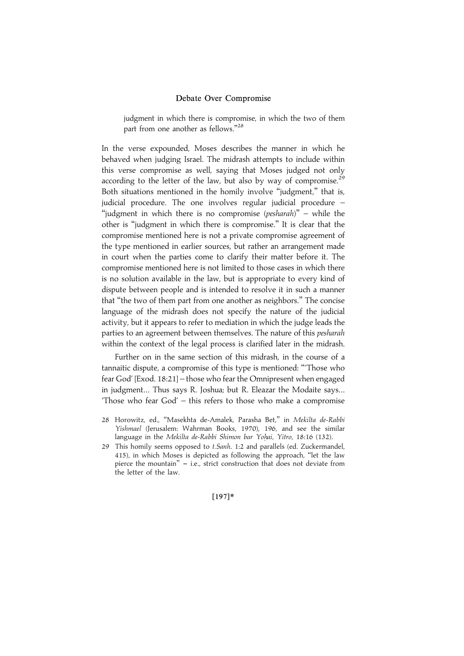judgment in which there is compromise, in which the two of them part from one another as fellows."<sup>28</sup>

In the verse expounded, Moses describes the manner in which he behaved when judging Israel. The midrash attempts to include within this verse compromise as well, saying that Moses judged not only according to the letter of the law, but also by way of compromise.<sup>29</sup> Both situations mentioned in the homily involve "judgment," that is, judicial procedure. The one involves regular judicial procedure – "judgment in which there is no compromise (*pesharah*)" – while the other is ''judgment in which there is compromise.'' It is clear that the compromise mentioned here is not a private compromise agreement of the type mentioned in earlier sources, but rather an arrangement made in court when the parties come to clarify their matter before it. The compromise mentioned here is not limited to those cases in which there is no solution available in the law, but is appropriate to every kind of dispute between people and is intended to resolve it in such a manner that ''the two of them part from one another as neighbors.'' The concise language of the midrash does not specify the nature of the judicial activity, but it appears to refer to mediation in which the judge leads the parties to an agreement between themselves. The nature of this *pesharah* within the context of the legal process is clarified later in the midrash.

Further on in the same section of this midrash, in the course of a tannaitic dispute, a compromise of this type is mentioned: '''Those who fear God' [Exod. 18:21] – those who fear the Omnipresent when engaged in judgment... Thus says R. Joshua; but R. Eleazar the Modaite says... 'Those who fear God' – this refers to those who make a compromise

 $[197]*$ 

<sup>28</sup> Horowitz, ed., "Masekhta de-Amalek, Parasha Bet," in Mekilta de-Rabbi Yishmael (Jerusalem: Wahrman Books, 1970), 196, and see the similar language in the Mekilta de-Rabbi Shimon bar Yohai, Yitro, 18:16 (132).

<sup>29</sup> This homily seems opposed to t.Sanh. 1:2 and parallels (ed. Zuckermandel, 415), in which Moses is depicted as following the approach, ''let the law pierce the mountain"  $-$  i.e., strict construction that does not deviate from the letter of the law.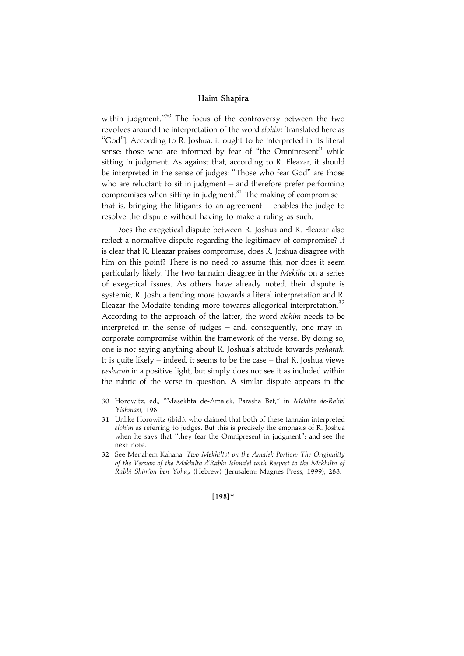within judgment."<sup>30</sup> The focus of the controversy between the two revolves around the interpretation of the word elohim [translated here as "God"]. According to R. Joshua, it ought to be interpreted in its literal sense: those who are informed by fear of "the Omnipresent" while sitting in judgment. As against that, according to R. Eleazar, it should be interpreted in the sense of judges: ''Those who fear God'' are those who are reluctant to sit in judgment – and therefore prefer performing compromises when sitting in judgment.<sup>31</sup> The making of compromise  $$ that is, bringing the litigants to an agreement – enables the judge to resolve the dispute without having to make a ruling as such.

Does the exegetical dispute between R. Joshua and R. Eleazar also reflect a normative dispute regarding the legitimacy of compromise? It is clear that R. Eleazar praises compromise; does R. Joshua disagree with him on this point? There is no need to assume this, nor does it seem particularly likely. The two tannaim disagree in the *Mekilta* on a series of exegetical issues. As others have already noted, their dispute is systemic, R. Joshua tending more towards a literal interpretation and R. Eleazar the Modaite tending more towards allegorical interpretation.<sup>32</sup> According to the approach of the latter, the word *elohim* needs to be interpreted in the sense of judges – and, consequently, one may incorporate compromise within the framework of the verse. By doing so, one is not saying anything about R. Joshua's attitude towards pesharah. It is quite likely – indeed, it seems to be the case – that R. Joshua views pesharah in a positive light, but simply does not see it as included within the rubric of the verse in question. A similar dispute appears in the

- 30 Horowitz, ed., ''Masekhta de-Amalek, Parasha Bet,'' in Mekilta de-Rabbi Yishmael, 198.
- 31 Unlike Horowitz (ibid.), who claimed that both of these tannaim interpreted elohim as referring to judges. But this is precisely the emphasis of R. Joshua when he says that ''they fear the Omnipresent in judgment''; and see the next note.
- 32 See Menahem Kahana, Two Mekhiltot on the Amalek Portion: The Originality of the Version of the Mekhilta d'Rabbi Ishma'el with Respect to the Mekhilta of Rabbi Shim'on ben Yohay (Hebrew) (Jerusalem: Magnes Press, 1999), 288.

#### [198]\*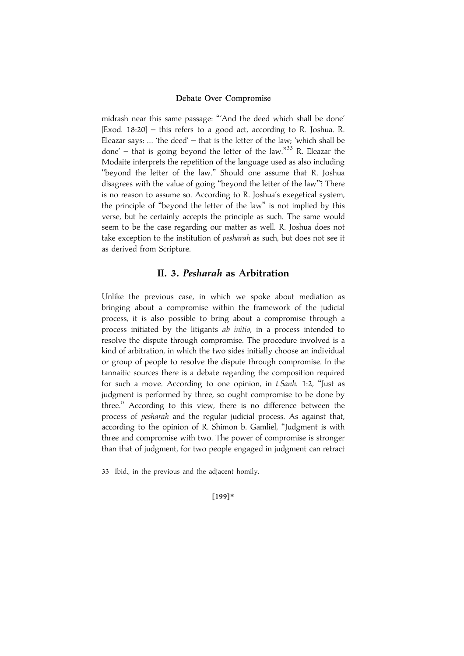midrash near this same passage: '''And the deed which shall be done' [Exod. 18:20] – this refers to a good act, according to R. Joshua. R. Eleazar says: ... 'the deed' – that is the letter of the law; 'which shall be done' - that is going beyond the letter of the law."<sup>33</sup> R. Eleazar the Modaite interprets the repetition of the language used as also including "beyond the letter of the law." Should one assume that R. Joshua disagrees with the value of going ''beyond the letter of the law''? There is no reason to assume so. According to R. Joshua's exegetical system, the principle of ''beyond the letter of the law'' is not implied by this verse, but he certainly accepts the principle as such. The same would seem to be the case regarding our matter as well. R. Joshua does not take exception to the institution of *pesharah* as such, but does not see it as derived from Scripture.

## II. 3. Pesharah as Arbitration

Unlike the previous case, in which we spoke about mediation as bringing about a compromise within the framework of the judicial process, it is also possible to bring about a compromise through a process initiated by the litigants ab initio, in a process intended to resolve the dispute through compromise. The procedure involved is a kind of arbitration, in which the two sides initially choose an individual or group of people to resolve the dispute through compromise. In the tannaitic sources there is a debate regarding the composition required for such a move. According to one opinion, in t. Sanh. 1:2, "Just as judgment is performed by three, so ought compromise to be done by three.'' According to this view, there is no difference between the process of pesharah and the regular judicial process. As against that, according to the opinion of R. Shimon b. Gamliel, ''Judgment is with three and compromise with two. The power of compromise is stronger than that of judgment, for two people engaged in judgment can retract

33 Ibid., in the previous and the adjacent homily.

#### [199]\*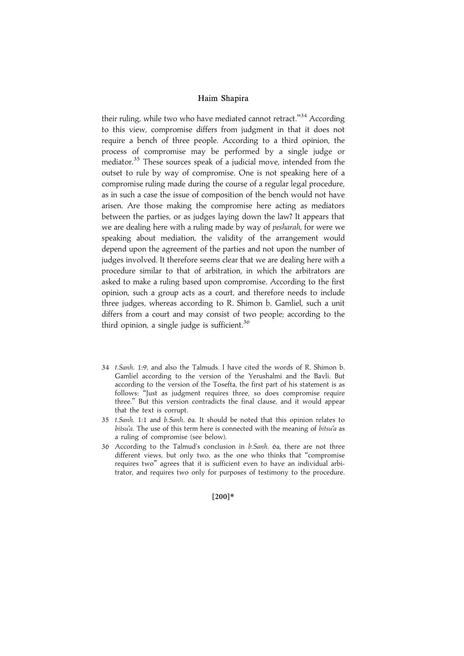their ruling, while two who have mediated cannot retract."<sup>34</sup> According to this view, compromise differs from judgment in that it does not require a bench of three people. According to a third opinion, the process of compromise may be performed by a single judge or mediator.<sup>35</sup> These sources speak of a judicial move, intended from the outset to rule by way of compromise. One is not speaking here of a compromise ruling made during the course of a regular legal procedure, as in such a case the issue of composition of the bench would not have arisen. Are those making the compromise here acting as mediators between the parties, or as judges laying down the law? It appears that we are dealing here with a ruling made by way of *pesharah*, for were we speaking about mediation, the validity of the arrangement would depend upon the agreement of the parties and not upon the number of judges involved. It therefore seems clear that we are dealing here with a procedure similar to that of arbitration, in which the arbitrators are asked to make a ruling based upon compromise. According to the first opinion, such a group acts as a court, and therefore needs to include three judges, whereas according to R. Shimon b. Gamliel, such a unit differs from a court and may consist of two people; according to the third opinion, a single judge is sufficient.<sup>36</sup>

- 34 t.Sanh. 1:9, and also the Talmuds. I have cited the words of R. Shimon b. Gamliel according to the version of the Yerushalmi and the Bavli. But according to the version of the Tosefta, the first part of his statement is as follows: ''Just as judgment requires three, so does compromise require three.'' But this version contradicts the final clause, and it would appear that the text is corrupt.
- 35 t.Sanh. 1:1 and b.Sanh. 6a. It should be noted that this opinion relates to bitsu'a. The use of this term here is connected with the meaning of bitsu'a as a ruling of compromise (see below).
- 36 According to the Talmud's conclusion in b.Sanh. 6a, there are not three different views, but only two, as the one who thinks that ''compromise requires two'' agrees that it is sufficient even to have an individual arbitrator, and requires two only for purposes of testimony to the procedure.

#### $[200]*$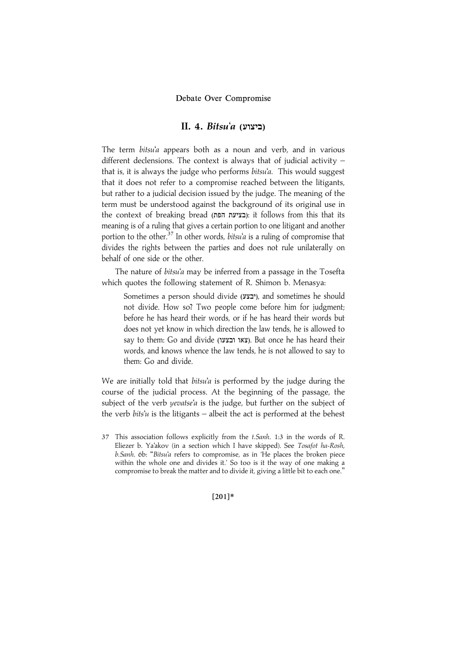## $II. 4. Bitsu'a (IYZ)$

The term bitsu'a appears both as a noun and verb, and in various different declensions. The context is always that of judicial activity – that is, it is always the judge who performs  $b$ itsu'a. This would suggest that it does not refer to a compromise reached between the litigants, but rather to a judicial decision issued by the judge. The meaning of the term must be understood against the background of its original use in the context of breaking bread (בציעת הפת): it follows from this that its meaning is of a ruling that gives a certain portion to one litigant and another portion to the other.<sup>37</sup> In other words, *bitsu'a* is a ruling of compromise that divides the rights between the parties and does not rule unilaterally on behalf of one side or the other.

The nature of bitsu'a may be inferred from a passage in the Tosefta which quotes the following statement of R. Shimon b. Menasya:

Sometimes a person should divide (יבצע), and sometimes he should not divide. How so? Two people come before him for judgment; before he has heard their words, or if he has heard their words but does not yet know in which direction the law tends, he is allowed to say to them: Go and divide (צאו ובצעו). But once he has heard their words, and knows whence the law tends, he is not allowed to say to them: Go and divide.

We are initially told that  $bitsu'a$  is performed by the judge during the course of the judicial process. At the beginning of the passage, the subject of the verb yevatse'a is the judge, but further on the subject of the verb *bits'u* is the litigants – albeit the act is performed at the behest

 $[201]*$ 

<sup>37</sup> This association follows explicitly from the t.Sanh. 1:3 in the words of R. Eliezer b. Ya'akov (in a section which I have skipped). See Tosafot ha-Rosh, b.Sanh. 6b: ''Bitsu'a refers to compromise, as in 'He places the broken piece within the whole one and divides it.' So too is it the way of one making a compromise to break the matter and to divide it, giving a little bit to each one.''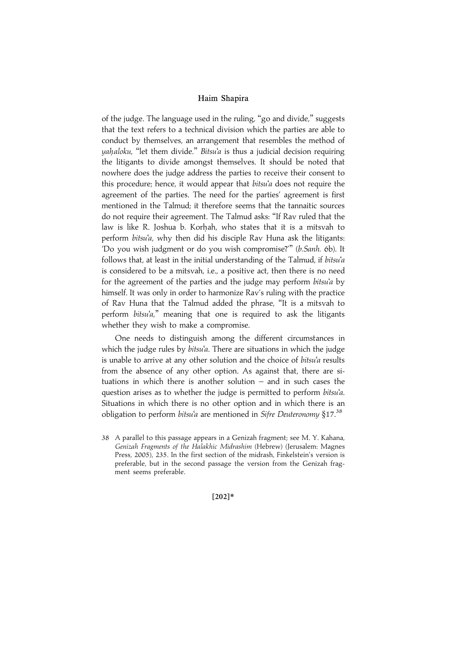of the judge. The language used in the ruling, ''go and divide,'' suggests that the text refers to a technical division which the parties are able to conduct by themselves, an arrangement that resembles the method of *yahaloku*, "let them divide." Bitsu'a is thus a judicial decision requiring the litigants to divide amongst themselves. It should be noted that nowhere does the judge address the parties to receive their consent to this procedure; hence, it would appear that *bitsu'a* does not require the agreement of the parties. The need for the parties' agreement is first mentioned in the Talmud; it therefore seems that the tannaitic sources do not require their agreement. The Talmud asks: ''If Rav ruled that the law is like R. Joshua b. Korhah, who states that it is a mitsvah to perform bitsu'a, why then did his disciple Rav Huna ask the litigants: 'Do you wish judgment or do you wish compromise?''' (b.Sanh. 6b). It follows that, at least in the initial understanding of the Talmud, if bitsu'a is considered to be a mitsvah, i.e., a positive act, then there is no need for the agreement of the parties and the judge may perform bitsu'a by himself. It was only in order to harmonize Rav's ruling with the practice of Rav Huna that the Talmud added the phrase, ''It is a mitsvah to perform bitsu'a," meaning that one is required to ask the litigants whether they wish to make a compromise.

One needs to distinguish among the different circumstances in which the judge rules by *bitsu'a*. There are situations in which the judge is unable to arrive at any other solution and the choice of bitsu'a results from the absence of any other option. As against that, there are situations in which there is another solution – and in such cases the question arises as to whether the judge is permitted to perform bitsu'a. Situations in which there is no other option and in which there is an obligation to perform bitsu'a are mentioned in Sifre Deuteronomy  $§17$ .<sup>38</sup>

 $[202]*$ 

<sup>38</sup> A parallel to this passage appears in a Genizah fragment; see M. Y. Kahana, Genizah Fragments of the Halakhic Midrashim (Hebrew) (Jerusalem: Magnes Press, 2005), 235. In the first section of the midrash, Finkelstein's version is preferable, but in the second passage the version from the Genizah fragment seems preferable.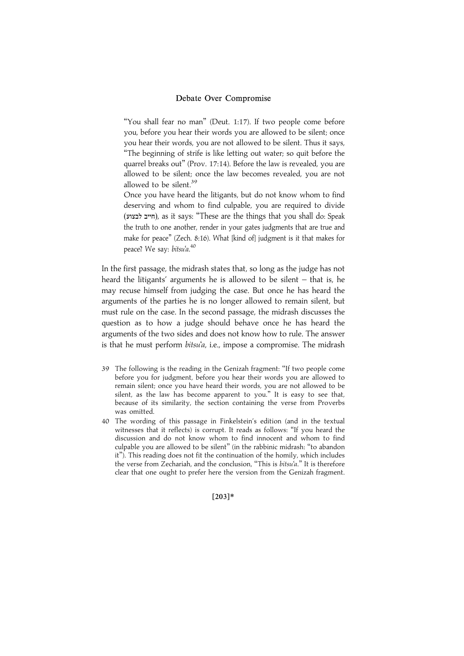"You shall fear no man" (Deut. 1:17). If two people come before you, before you hear their words you are allowed to be silent; once you hear their words, you are not allowed to be silent. Thus it says, ''The beginning of strife is like letting out water; so quit before the quarrel breaks out'' (Prov. 17:14). Before the law is revealed, you are allowed to be silent; once the law becomes revealed, you are not allowed to be silent. $39$ 

Once you have heard the litigants, but do not know whom to find deserving and whom to find culpable, you are required to divide (חייב לבצוע), as it says: "These are the things that you shall do: Speak the truth to one another, render in your gates judgments that are true and make for peace'' (Zech. 8:16). What [kind of] judgment is it that makes for peace? We say: bitsu'a.<sup>40</sup>

In the first passage, the midrash states that, so long as the judge has not heard the litigants' arguments he is allowed to be silent – that is, he may recuse himself from judging the case. But once he has heard the arguments of the parties he is no longer allowed to remain silent, but must rule on the case. In the second passage, the midrash discusses the question as to how a judge should behave once he has heard the arguments of the two sides and does not know how to rule. The answer is that he must perform bitsu'a, i.e., impose a compromise. The midrash

- 39 The following is the reading in the Genizah fragment: ''If two people come before you for judgment, before you hear their words you are allowed to remain silent; once you have heard their words, you are not allowed to be silent, as the law has become apparent to you.'' It is easy to see that, because of its similarity, the section containing the verse from Proverbs was omitted.
- 40 The wording of this passage in Finkelstein's edition (and in the textual witnesses that it reflects) is corrupt. It reads as follows: ''If you heard the discussion and do not know whom to find innocent and whom to find culpable you are allowed to be silent'' (in the rabbinic midrash: ''to abandon it''). This reading does not fit the continuation of the homily, which includes the verse from Zechariah, and the conclusion, "This is bitsu'a." It is therefore clear that one ought to prefer here the version from the Genizah fragment.

 $[203]*$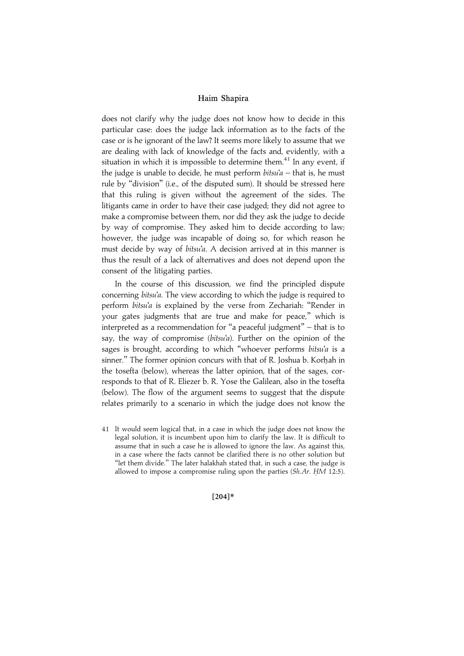does not clarify why the judge does not know how to decide in this particular case: does the judge lack information as to the facts of the case or is he ignorant of the law? It seems more likely to assume that we are dealing with lack of knowledge of the facts and, evidently, with a situation in which it is impossible to determine them. $41$  In any event, if the judge is unable to decide, he must perform  $bitsu'a - that$  is, he must rule by ''division'' (i.e., of the disputed sum). It should be stressed here that this ruling is given without the agreement of the sides. The litigants came in order to have their case judged; they did not agree to make a compromise between them, nor did they ask the judge to decide by way of compromise. They asked him to decide according to law; however, the judge was incapable of doing so, for which reason he must decide by way of bitsu'a. A decision arrived at in this manner is thus the result of a lack of alternatives and does not depend upon the consent of the litigating parties.

In the course of this discussion, we find the principled dispute concerning bitsu'a. The view according to which the judge is required to perform bitsu'a is explained by the verse from Zechariah: "Render in your gates judgments that are true and make for peace,'' which is interpreted as a recommendation for ''a peaceful judgment'' – that is to say, the way of compromise (bitsu'a). Further on the opinion of the sages is brought, according to which "whoever performs bitsu'a is a sinner." The former opinion concurs with that of R. Joshua b. Korhah in the tosefta (below), whereas the latter opinion, that of the sages, corresponds to that of R. Eliezer b. R. Yose the Galilean, also in the tosefta (below). The flow of the argument seems to suggest that the dispute relates primarily to a scenario in which the judge does not know the

41 It would seem logical that, in a case in which the judge does not know the legal solution, it is incumbent upon him to clarify the law. It is difficult to assume that in such a case he is allowed to ignore the law. As against this, in a case where the facts cannot be clarified there is no other solution but "let them divide." The later halakhah stated that, in such a case, the judge is allowed to impose a compromise ruling upon the parties  $(Sh.Ar. HM 12:5)$ .

 $[204]*$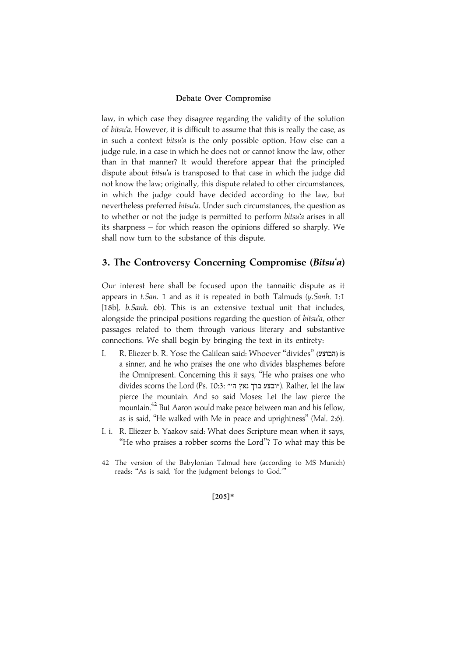law, in which case they disagree regarding the validity of the solution of bitsu'a. However, it is difficult to assume that this is really the case, as in such a context bitsu'a is the only possible option. How else can a judge rule, in a case in which he does not or cannot know the law, other than in that manner? It would therefore appear that the principled dispute about *bitsu'a* is transposed to that case in which the judge did not know the law; originally, this dispute related to other circumstances, in which the judge could have decided according to the law, but nevertheless preferred bitsu'a. Under such circumstances, the question as to whether or not the judge is permitted to perform bitsu'a arises in all its sharpness – for which reason the opinions differed so sharply. We shall now turn to the substance of this dispute.

# 3. The Controversy Concerning Compromise (Bitsu'a)

Our interest here shall be focused upon the tannaitic dispute as it appears in  $t.\text{San.}$  1 and as it is repeated in both Talmuds (y. Sanh. 1:1 [18b], b.Sanh. 6b). This is an extensive textual unit that includes, alongside the principal positions regarding the question of bitsu'a, other passages related to them through various literary and substantive connections. We shall begin by bringing the text in its entirety:

- I. R. Eliezer b. R. Yose the Galilean said: Whoever "divides" (הבוצע) is a sinner, and he who praises the one who divides blasphemes before the Omnipresent. Concerning this it says, ''He who praises one who divides scorns the Lord (Ps. 10:3: ״ובצע ברך נאץ ה״"). Rather, let the law pierce the mountain. And so said Moses: Let the law pierce the mountain.<sup>42</sup> But Aaron would make peace between man and his fellow, as is said, ''He walked with Me in peace and uprightness'' (Mal. 2:6).
- I. i. R. Eliezer b. Yaakov said: What does Scripture mean when it says, "He who praises a robber scorns the Lord"? To what may this be
- 42 The version of the Babylonian Talmud here (according to MS Munich) reads: ''As is said, 'for the judgment belongs to God.'''

 $[205]*$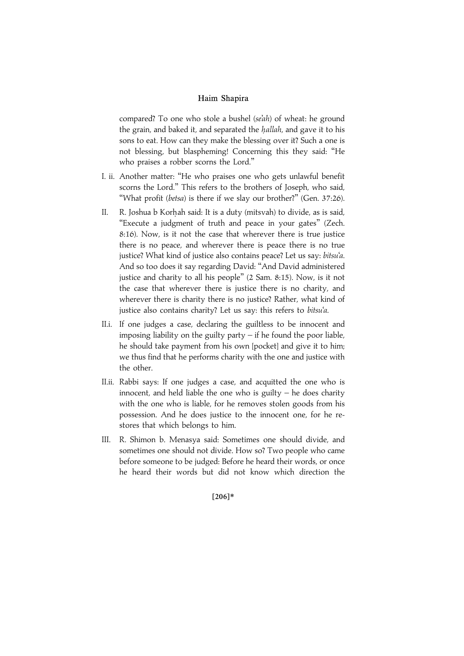compared? To one who stole a bushel (se'ah) of wheat: he ground the grain, and baked it, and separated the hallah, and gave it to his sons to eat. How can they make the blessing over it? Such a one is not blessing, but blaspheming! Concerning this they said: ''He who praises a robber scorns the Lord.''

- I. ii. Another matter: ''He who praises one who gets unlawful benefit scorns the Lord.'' This refers to the brothers of Joseph, who said, "What profit (betsa) is there if we slay our brother?" (Gen. 37:26).
- II. R. Joshua b Korhah said: It is a duty (mitsvah) to divide, as is said, "Execute a judgment of truth and peace in your gates" (Zech. 8:16). Now, is it not the case that wherever there is true justice there is no peace, and wherever there is peace there is no true justice? What kind of justice also contains peace? Let us say: bitsu'a. And so too does it say regarding David: ''And David administered justice and charity to all his people'' (2 Sam. 8:15). Now, is it not the case that wherever there is justice there is no charity, and wherever there is charity there is no justice? Rather, what kind of justice also contains charity? Let us say: this refers to bitsu'a.
- II.i. If one judges a case, declaring the guiltless to be innocent and imposing liability on the guilty party  $-$  if he found the poor liable, he should take payment from his own [pocket] and give it to him; we thus find that he performs charity with the one and justice with the other.
- II.ii. Rabbi says: If one judges a case, and acquitted the one who is innocent, and held liable the one who is guilty  $-$  he does charity with the one who is liable, for he removes stolen goods from his possession. And he does justice to the innocent one, for he restores that which belongs to him.
- III. R. Shimon b. Menasya said: Sometimes one should divide, and sometimes one should not divide. How so? Two people who came before someone to be judged: Before he heard their words, or once he heard their words but did not know which direction the

#### $[206]*$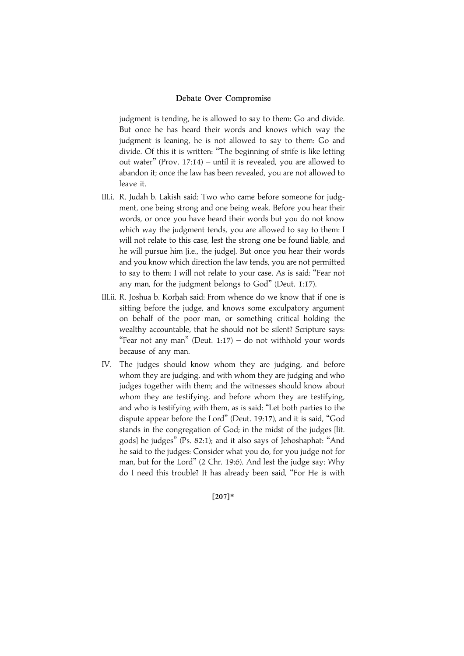judgment is tending, he is allowed to say to them: Go and divide. But once he has heard their words and knows which way the judgment is leaning, he is not allowed to say to them: Go and divide. Of this it is written: ''The beginning of strife is like letting out water'' (Prov. 17:14) – until it is revealed, you are allowed to abandon it; once the law has been revealed, you are not allowed to leave it.

- III.i. R. Judah b. Lakish said: Two who came before someone for judgment, one being strong and one being weak. Before you hear their words, or once you have heard their words but you do not know which way the judgment tends, you are allowed to say to them: I will not relate to this case, lest the strong one be found liable, and he will pursue him [i.e., the judge]. But once you hear their words and you know which direction the law tends, you are not permitted to say to them: I will not relate to your case. As is said: ''Fear not any man, for the judgment belongs to God'' (Deut. 1:17).
- III.ii. R. Joshua b. Korhah said: From whence do we know that if one is sitting before the judge, and knows some exculpatory argument on behalf of the poor man, or something critical holding the wealthy accountable, that he should not be silent? Scripture says: "Fear not any man" (Deut.  $1:17$ ) – do not withhold your words because of any man.
- IV. The judges should know whom they are judging, and before whom they are judging, and with whom they are judging and who judges together with them; and the witnesses should know about whom they are testifying, and before whom they are testifying, and who is testifying with them, as is said: ''Let both parties to the dispute appear before the Lord'' (Deut. 19:17), and it is said, ''God stands in the congregation of God; in the midst of the judges [lit. gods] he judges'' (Ps. 82:1); and it also says of Jehoshaphat: ''And he said to the judges: Consider what you do, for you judge not for man, but for the Lord'' (2 Chr. 19:6). And lest the judge say: Why do I need this trouble? It has already been said, ''For He is with

### $[207]*$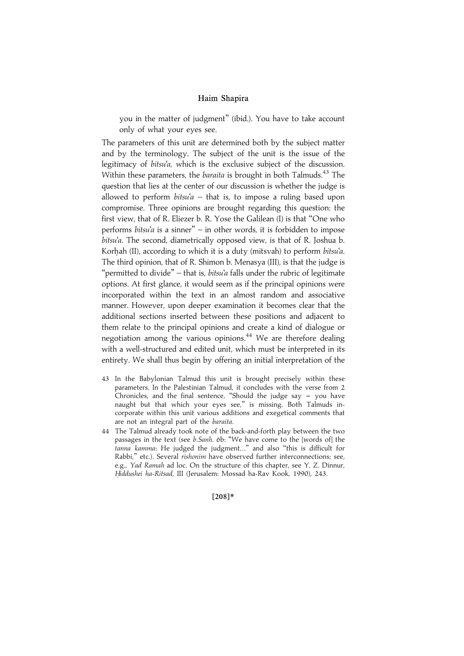you in the matter of judgment'' (ibid.). You have to take account only of what your eyes see.

The parameters of this unit are determined both by the subject matter and by the terminology. The subject of the unit is the issue of the legitimacy of bitsu'a, which is the exclusive subject of the discussion. Within these parameters, the *baraita* is brought in both Talmuds.<sup>43</sup> The question that lies at the center of our discussion is whether the judge is allowed to perform  $bitsu'a - that$  is, to impose a ruling based upon compromise. Three opinions are brought regarding this question: the first view, that of R. Eliezer b. R. Yose the Galilean (I) is that ''One who performs bitsu'a is a sinner'' – in other words, it is forbidden to impose bitsu'a. The second, diametrically opposed view, is that of R. Joshua b. Korhah (II), according to which it is a duty (mitsvah) to perform bitsu'a. The third opinion, that of R. Shimon b. Menasya (III), is that the judge is "permitted to divide" – that is, *bitsu'a* falls under the rubric of legitimate options. At first glance, it would seem as if the principal opinions were incorporated within the text in an almost random and associative manner. However, upon deeper examination it becomes clear that the additional sections inserted between these positions and adjacent to them relate to the principal opinions and create a kind of dialogue or negotiation among the various opinions.<sup>44</sup> We are therefore dealing with a well-structured and edited unit, which must be interpreted in its entirety. We shall thus begin by offering an initial interpretation of the

- 43 In the Babylonian Talmud this unit is brought precisely within these parameters. In the Palestinian Talmud, it concludes with the verse from 2 Chronicles, and the final sentence, "Should the judge say  $-$  you have naught but that which your eyes see," is missing. Both Talmuds incorporate within this unit various additions and exegetical comments that are not an integral part of the baraita.
- 44 The Talmud already took note of the back-and-forth play between the two passages in the text (see b.Sanh. 6b: ''We have come to the [words of] the tanna kamma: He judged the judgment...'' and also ''this is difficult for Rabbi," etc.). Several *rishonim* have observed further interconnections; see, e.g., Yad Ramah ad loc. On the structure of this chapter, see Y. Z. Dinnur, Hiddushei ha-Ritsad, III (Jerusalem: Mossad ha-Rav Kook, 1990), 243.

 $[208]*$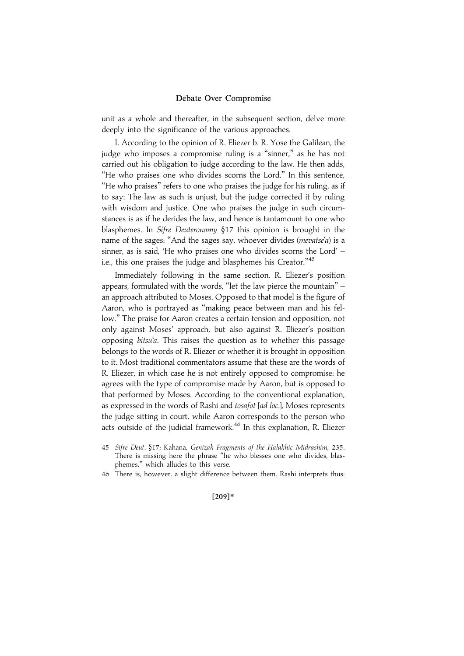unit as a whole and thereafter, in the subsequent section, delve more deeply into the significance of the various approaches.

I. According to the opinion of R. Eliezer b. R. Yose the Galilean, the judge who imposes a compromise ruling is a "sinner," as he has not carried out his obligation to judge according to the law. He then adds, "He who praises one who divides scorns the Lord." In this sentence, ''He who praises'' refers to one who praises the judge for his ruling, as if to say: The law as such is unjust, but the judge corrected it by ruling with wisdom and justice. One who praises the judge in such circumstances is as if he derides the law, and hence is tantamount to one who blasphemes. In Sifre Deuteronomy §17 this opinion is brought in the name of the sages: "And the sages say, whoever divides (mevatse'a) is a sinner, as is said, 'He who praises one who divides scorns the Lord' – i.e., this one praises the judge and blasphemes his Creator."<sup>45</sup>

Immediately following in the same section, R. Eliezer's position appears, formulated with the words, ''let the law pierce the mountain'' – an approach attributed to Moses. Opposed to that model is the figure of Aaron, who is portrayed as ''making peace between man and his fellow.'' The praise for Aaron creates a certain tension and opposition, not only against Moses' approach, but also against R. Eliezer's position opposing bitsu'a. This raises the question as to whether this passage belongs to the words of R. Eliezer or whether it is brought in opposition to it. Most traditional commentators assume that these are the words of R. Eliezer, in which case he is not entirely opposed to compromise: he agrees with the type of compromise made by Aaron, but is opposed to that performed by Moses. According to the conventional explanation, as expressed in the words of Rashi and tosafot [ad loc.], Moses represents the judge sitting in court, while Aaron corresponds to the person who acts outside of the judicial framework.<sup>46</sup> In this explanation, R. Eliezer

46 There is, however, a slight difference between them. Rashi interprets thus:

 $[209]*$ 

<sup>45</sup> Sifre Deut. §17; Kahana, Genizah Fragments of the Halakhic Midrashim, 235. There is missing here the phrase "he who blesses one who divides, blasphemes,'' which alludes to this verse.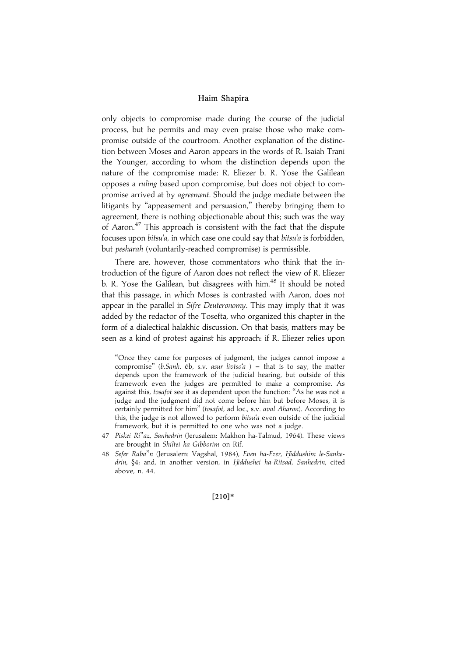only objects to compromise made during the course of the judicial process, but he permits and may even praise those who make compromise outside of the courtroom. Another explanation of the distinction between Moses and Aaron appears in the words of R. Isaiah Trani the Younger, according to whom the distinction depends upon the nature of the compromise made: R. Eliezer b. R. Yose the Galilean opposes a ruling based upon compromise, but does not object to compromise arrived at by *agreement*. Should the judge mediate between the litigants by ''appeasement and persuasion,'' thereby bringing them to agreement, there is nothing objectionable about this; such was the way of Aaron.<sup>47</sup> This approach is consistent with the fact that the dispute focuses upon *bitsu'a*, in which case one could say that *bitsu'a* is forbidden, but pesharah (voluntarily-reached compromise) is permissible.

There are, however, those commentators who think that the introduction of the figure of Aaron does not reflect the view of R. Eliezer b. R. Yose the Galilean, but disagrees with him.<sup>48</sup> It should be noted that this passage, in which Moses is contrasted with Aaron, does not appear in the parallel in Sifre Deuteronomy. This may imply that it was added by the redactor of the Tosefta, who organized this chapter in the form of a dialectical halakhic discussion. On that basis, matters may be seen as a kind of protest against his approach: if R. Eliezer relies upon

''Once they came for purposes of judgment, the judges cannot impose a compromise" (b.Sanh. 6b, s.v. asur livtso'a ) - that is to say, the matter depends upon the framework of the judicial hearing, but outside of this framework even the judges are permitted to make a compromise. As against this, tosafot see it as dependent upon the function: ''As he was not a judge and the judgment did not come before him but before Moses, it is certainly permitted for him'' (tosafot, ad loc., s.v. aval Aharon). According to this, the judge is not allowed to perform bitsu'a even outside of the judicial framework, but it is permitted to one who was not a judge.

- 47 Piskei Ri"az, Sanhedrin (Jerusalem: Makhon ha-Talmud, 1964). These views are brought in Shiltei ha-Gibborim on Rif.
- 48 Sefer Raba"n (Jerusalem: Vagshal, 1984), Even ha-Ezer, Hiddushim le-Sanhedrin, §4; and, in another version, in Hiddushei ha-Ritsad, Sanhedrin, cited above, n. 44.

#### $[210]*$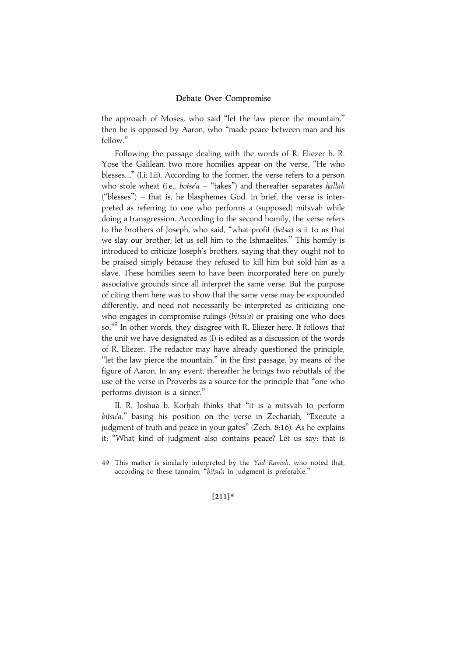the approach of Moses, who said ''let the law pierce the mountain,'' then he is opposed by Aaron, who ''made peace between man and his fellow.''

Following the passage dealing with the words of R. Eliezer b. R. Yose the Galilean, two more homilies appear on the verse, ''He who blesses...'' (I.i; I.ii). According to the former, the verse refers to a person who stole wheat (i.e., botse'a  $-$  "takes") and thereafter separates hallah (''blesses'') – that is, he blasphemes God. In brief, the verse is interpreted as referring to one who performs a (supposed) mitsvah while doing a transgression. According to the second homily, the verse refers to the brothers of Joseph, who said, ''what profit (betsa) is it to us that we slay our brother; let us sell him to the Ishmaelites.'' This homily is introduced to criticize Joseph's brothers, saying that they ought not to be praised simply because they refused to kill him but sold him as a slave. These homilies seem to have been incorporated here on purely associative grounds since all interpret the same verse. But the purpose of citing them here was to show that the same verse may be expounded differently, and need not necessarily be interpreted as criticizing one who engages in compromise rulings (bitsu'a) or praising one who does so. <sup>49</sup> In other words, they disagree with R. Eliezer here. It follows that the unit we have designated as (I) is edited as a discussion of the words of R. Eliezer. The redactor may have already questioned the principle, "let the law pierce the mountain," in the first passage, by means of the figure of Aaron. In any event, thereafter he brings two rebuttals of the use of the verse in Proverbs as a source for the principle that ''one who performs division is a sinner.''

II. R. Joshua b. Korhah thinks that "it is a mitsvah to perform bitsu'a," basing his position on the verse in Zechariah, "Execute a judgment of truth and peace in your gates'' (Zech. 8:16). As he explains it: ''What kind of judgment also contains peace? Let us say: that is

#### $[211]*$

<sup>49</sup> This matter is similarly interpreted by the Yad Ramah, who noted that, according to these tannaim, "bitsu'a in judgment is preferable.'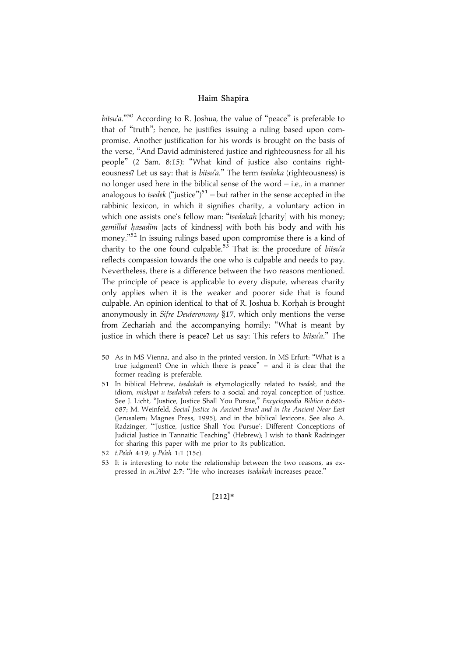bitsu'a."<sup>50</sup> According to R. Joshua, the value of "peace" is preferable to that of ''truth''; hence, he justifies issuing a ruling based upon compromise. Another justification for his words is brought on the basis of the verse, ''And David administered justice and righteousness for all his people'' (2 Sam. 8:15): ''What kind of justice also contains righteousness? Let us say: that is bitsu'a." The term tsedaka (righteousness) is no longer used here in the biblical sense of the word – i.e., in a manner analogous to *tsedek* ("justice")<sup>51</sup> – but rather in the sense accepted in the rabbinic lexicon, in which it signifies charity, a voluntary action in which one assists one's fellow man: "tsedakah [charity] with his money; gemillut hasadim [acts of kindness] with both his body and with his money."<sup>52</sup> In issuing rulings based upon compromise there is a kind of charity to the one found culpable.<sup>53</sup> That is: the procedure of *bitsu'a* reflects compassion towards the one who is culpable and needs to pay. Nevertheless, there is a difference between the two reasons mentioned. The principle of peace is applicable to every dispute, whereas charity only applies when it is the weaker and poorer side that is found culpable. An opinion identical to that of R. Joshua b. Korhah is brought anonymously in Sifre Deuteronomy §17, which only mentions the verse from Zechariah and the accompanying homily: ''What is meant by justice in which there is peace? Let us say: This refers to bitsu'a." The

- 50 As in MS Vienna, and also in the printed version. In MS Erfurt: ''What is a true judgment? One in which there is peace"  $-$  and it is clear that the former reading is preferable.
- 51 In biblical Hebrew, tsedakah is etymologically related to tsedek, and the idiom, mishpat u-tsedakah refers to a social and royal conception of justice. See J. Licht, "Justice, Justice Shall You Pursue," Encyclopaedia Biblica 6.685-687; M. Weinfeld, Social Justice in Ancient Israel and in the Ancient Near East (Jerusalem: Magnes Press, 1995), and in the biblical lexicons. See also A. Radzinger, '''Justice, Justice Shall You Pursue': Different Conceptions of Judicial Justice in Tannaitic Teaching'' (Hebrew); I wish to thank Radzinger for sharing this paper with me prior to its publication.
- 52 t.Pe'ah 4:19; y.Pe'ah 1:1 (15c).
- 53 It is interesting to note the relationship between the two reasons, as expressed in m.'Abot 2:7: "He who increases tsedakah increases peace.'

#### $[212]*$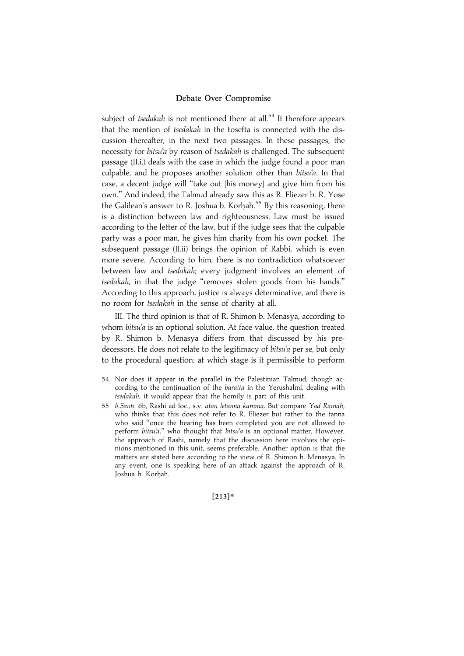subject of *tsedakah* is not mentioned there at all.<sup>54</sup> It therefore appears that the mention of tsedakah in the tosefta is connected with the discussion thereafter, in the next two passages. In these passages, the necessity for bitsu'a by reason of tsedakah is challenged. The subsequent passage (II.i.) deals with the case in which the judge found a poor man culpable, and he proposes another solution other than bitsu'a. In that case, a decent judge will ''take out [his money] and give him from his own.'' And indeed, the Talmud already saw this as R. Eliezer b. R. Yose the Galilean's answer to R. Joshua b. Korhah.<sup>55</sup> By this reasoning, there is a distinction between law and righteousness. Law must be issued according to the letter of the law, but if the judge sees that the culpable party was a poor man, he gives him charity from his own pocket. The subsequent passage (II.ii) brings the opinion of Rabbi, which is even more severe. According to him, there is no contradiction whatsoever between law and *tsedakah*; every judgment involves an element of tsedakah, in that the judge ''removes stolen goods from his hands.'' According to this approach, justice is always determinative, and there is no room for tsedakah in the sense of charity at all.

III. The third opinion is that of R. Shimon b. Menasya, according to whom bitsu'a is an optional solution. At face value, the question treated by R. Shimon b. Menasya differs from that discussed by his predecessors. He does not relate to the legitimacy of *bitsu'a* per se, but only to the procedural question: at which stage is it permissible to perform

- 54 Nor does it appear in the parallel in the Palestinian Talmud, though according to the continuation of the baraita in the Yerushalmi, dealing with tsedakah, it would appear that the homily is part of this unit.
- 55 b.Sanh. 6b, Rashi ad loc., s.v. atan letanna kamma. But compare Yad Ramah, who thinks that this does not refer to R. Eliezer but rather to the tanna who said ''once the hearing has been completed you are not allowed to perform bitsu'a," who thought that bitsu'a is an optional matter. However, the approach of Rashi, namely that the discussion here involves the opinions mentioned in this unit, seems preferable. Another option is that the matters are stated here according to the view of R. Shimon b. Menasya. In any event, one is speaking here of an attack against the approach of R. Joshua b. Korhah.

#### $[213]*$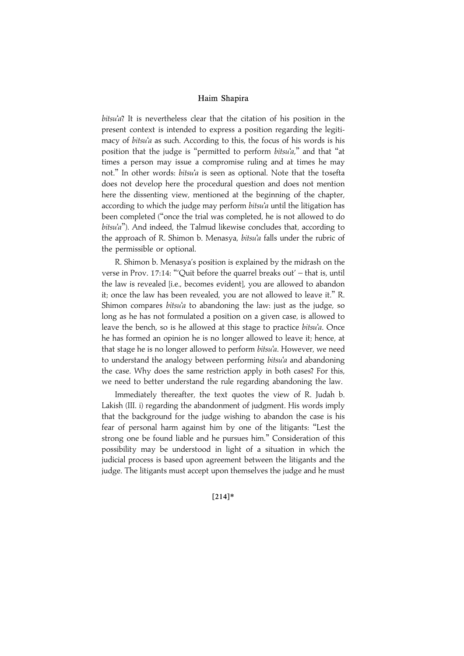bitsu'a? It is nevertheless clear that the citation of his position in the present context is intended to express a position regarding the legitimacy of bitsu'a as such. According to this, the focus of his words is his position that the judge is "permitted to perform bitsu'a," and that "at times a person may issue a compromise ruling and at times he may not.'' In other words: bitsu'a is seen as optional. Note that the tosefta does not develop here the procedural question and does not mention here the dissenting view, mentioned at the beginning of the chapter, according to which the judge may perform bitsu'a until the litigation has been completed (''once the trial was completed, he is not allowed to do bitsu'a"). And indeed, the Talmud likewise concludes that, according to the approach of R. Shimon b. Menasya, bitsu'a falls under the rubric of the permissible or optional.

R. Shimon b. Menasya's position is explained by the midrash on the verse in Prov. 17:14: "'Quit before the quarrel breaks out' - that is, until the law is revealed [i.e., becomes evident], you are allowed to abandon it; once the law has been revealed, you are not allowed to leave it.'' R. Shimon compares bitsu'a to abandoning the law: just as the judge, so long as he has not formulated a position on a given case, is allowed to leave the bench, so is he allowed at this stage to practice bitsu'a. Once he has formed an opinion he is no longer allowed to leave it; hence, at that stage he is no longer allowed to perform bitsu'a. However, we need to understand the analogy between performing *bitsu'a* and abandoning the case. Why does the same restriction apply in both cases? For this, we need to better understand the rule regarding abandoning the law.

Immediately thereafter, the text quotes the view of R. Judah b. Lakish (III. i) regarding the abandonment of judgment. His words imply that the background for the judge wishing to abandon the case is his fear of personal harm against him by one of the litigants: ''Lest the strong one be found liable and he pursues him.'' Consideration of this possibility may be understood in light of a situation in which the judicial process is based upon agreement between the litigants and the judge. The litigants must accept upon themselves the judge and he must

#### $[214]*$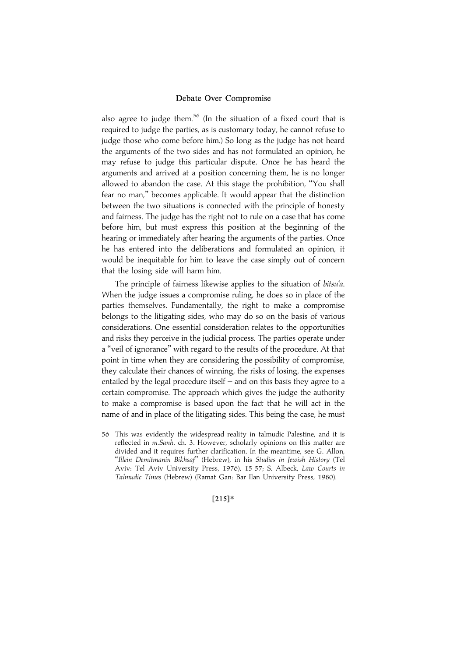also agree to judge them.<sup>56</sup> (In the situation of a fixed court that is required to judge the parties, as is customary today, he cannot refuse to judge those who come before him.) So long as the judge has not heard the arguments of the two sides and has not formulated an opinion, he may refuse to judge this particular dispute. Once he has heard the arguments and arrived at a position concerning them, he is no longer allowed to abandon the case. At this stage the prohibition, ''You shall fear no man,'' becomes applicable. It would appear that the distinction between the two situations is connected with the principle of honesty and fairness. The judge has the right not to rule on a case that has come before him, but must express this position at the beginning of the hearing or immediately after hearing the arguments of the parties. Once he has entered into the deliberations and formulated an opinion, it would be inequitable for him to leave the case simply out of concern that the losing side will harm him.

The principle of fairness likewise applies to the situation of bitsu'a. When the judge issues a compromise ruling, he does so in place of the parties themselves. Fundamentally, the right to make a compromise belongs to the litigating sides, who may do so on the basis of various considerations. One essential consideration relates to the opportunities and risks they perceive in the judicial process. The parties operate under a ''veil of ignorance'' with regard to the results of the procedure. At that point in time when they are considering the possibility of compromise, they calculate their chances of winning, the risks of losing, the expenses entailed by the legal procedure itself – and on this basis they agree to a certain compromise. The approach which gives the judge the authority to make a compromise is based upon the fact that he will act in the name of and in place of the litigating sides. This being the case, he must

#### $[215]*$

<sup>56</sup> This was evidently the widespread reality in talmudic Palestine, and it is reflected in m.Sanh. ch. 3. However, scholarly opinions on this matter are divided and it requires further clarification. In the meantime, see G. Allon, ''Illein Demitmanin Bikhsaf'' (Hebrew), in his Studies in Jewish History (Tel Aviv: Tel Aviv University Press, 1976), 15-57; S. Albeck, Law Courts in Talmudic Times (Hebrew) (Ramat Gan: Bar Ilan University Press, 1980).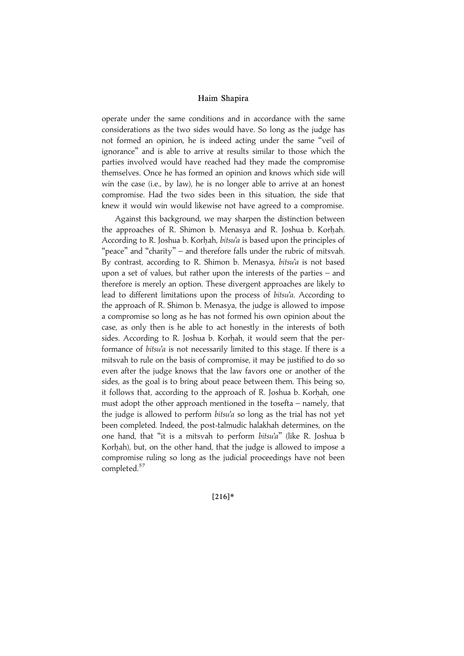operate under the same conditions and in accordance with the same considerations as the two sides would have. So long as the judge has not formed an opinion, he is indeed acting under the same ''veil of ignorance'' and is able to arrive at results similar to those which the parties involved would have reached had they made the compromise themselves. Once he has formed an opinion and knows which side will win the case (i.e., by law), he is no longer able to arrive at an honest compromise. Had the two sides been in this situation, the side that knew it would win would likewise not have agreed to a compromise.

Against this background, we may sharpen the distinction between the approaches of R. Shimon b. Menasya and R. Joshua b. Korhah. According to R. Joshua b. Korhah, *bitsu'a* is based upon the principles of "peace" and "charity" – and therefore falls under the rubric of mitsvah. By contrast, according to R. Shimon b. Menasya, bitsu'a is not based upon a set of values, but rather upon the interests of the parties – and therefore is merely an option. These divergent approaches are likely to lead to different limitations upon the process of bitsu'a. According to the approach of R. Shimon b. Menasya, the judge is allowed to impose a compromise so long as he has not formed his own opinion about the case, as only then is he able to act honestly in the interests of both sides. According to R. Joshua b. Korhah, it would seem that the performance of *bitsu'a* is not necessarily limited to this stage. If there is a mitsvah to rule on the basis of compromise, it may be justified to do so even after the judge knows that the law favors one or another of the sides, as the goal is to bring about peace between them. This being so, it follows that, according to the approach of R. Joshua b. Korhah, one must adopt the other approach mentioned in the tosefta – namely, that the judge is allowed to perform *bitsu'a* so long as the trial has not yet been completed. Indeed, the post-talmudic halakhah determines, on the one hand, that ''it is a mitsvah to perform bitsu'a'' (like R. Joshua b Korhah), but, on the other hand, that the judge is allowed to impose a compromise ruling so long as the judicial proceedings have not been completed.<sup>57</sup>

 $[216]*$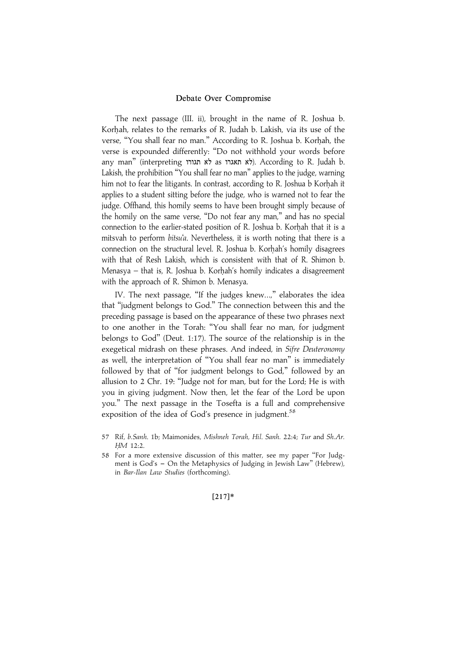The next passage (III. ii), brought in the name of R. Joshua b. Korhah, relates to the remarks of R. Judah b. Lakish, via its use of the verse, "You shall fear no man." According to R. Joshua b. Korhah, the verse is expounded differently: ''Do not withhold your words before any man" (interpreting לא תגורו). According to R. Judah b. Lakish, the prohibition ''You shall fear no man'' applies to the judge, warning him not to fear the litigants. In contrast, according to R. Joshua b Korhah it applies to a student sitting before the judge, who is warned not to fear the judge. Offhand, this homily seems to have been brought simply because of the homily on the same verse, ''Do not fear any man,'' and has no special connection to the earlier-stated position of R. Joshua b. Korhah that it is a mitsvah to perform bitsu'a. Nevertheless, it is worth noting that there is a connection on the structural level. R. Joshua b. Korhah's homily disagrees with that of Resh Lakish, which is consistent with that of R. Shimon b. Menasya – that is, R. Joshua b. Korhah's homily indicates a disagreement with the approach of R. Shimon b. Menasya.

IV. The next passage, ''If the judges knew...,'' elaborates the idea that ''judgment belongs to God.'' The connection between this and the preceding passage is based on the appearance of these two phrases next to one another in the Torah: ''You shall fear no man, for judgment belongs to God'' (Deut. 1:17). The source of the relationship is in the exegetical midrash on these phrases. And indeed, in Sifre Deuteronomy as well, the interpretation of ''You shall fear no man'' is immediately followed by that of "for judgment belongs to God," followed by an allusion to 2 Chr. 19: ''Judge not for man, but for the Lord; He is with you in giving judgment. Now then, let the fear of the Lord be upon you.'' The next passage in the Tosefta is a full and comprehensive exposition of the idea of God's presence in judgment.<sup>58</sup>

#### $[217]*$

<sup>57</sup> Rif, b.Sanh. 1b; Maimonides, Mishneh Torah, Hil. Sanh. 22:4; Tur and Sh.Ar. HM 12:2.

<sup>58</sup> For a more extensive discussion of this matter, see my paper ''For Judgment is God's - On the Metaphysics of Judging in Jewish Law" (Hebrew), in Bar-Ilan Law Studies (forthcoming).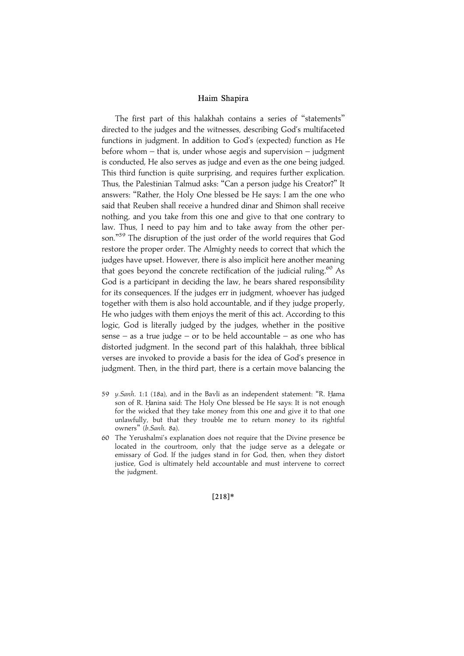The first part of this halakhah contains a series of ''statements'' directed to the judges and the witnesses, describing God's multifaceted functions in judgment. In addition to God's (expected) function as He before whom – that is, under whose aegis and supervision – judgment is conducted, He also serves as judge and even as the one being judged. This third function is quite surprising, and requires further explication. Thus, the Palestinian Talmud asks: ''Can a person judge his Creator?'' It answers: ''Rather, the Holy One blessed be He says: I am the one who said that Reuben shall receive a hundred dinar and Shimon shall receive nothing, and you take from this one and give to that one contrary to law. Thus, I need to pay him and to take away from the other person."<sup>59</sup> The disruption of the just order of the world requires that God restore the proper order. The Almighty needs to correct that which the judges have upset. However, there is also implicit here another meaning that goes beyond the concrete rectification of the judicial ruling. $60$  As God is a participant in deciding the law, he bears shared responsibility for its consequences. If the judges err in judgment, whoever has judged together with them is also hold accountable, and if they judge properly, He who judges with them enjoys the merit of this act. According to this logic, God is literally judged by the judges, whether in the positive sense – as a true judge – or to be held accountable – as one who has distorted judgment. In the second part of this halakhah, three biblical verses are invoked to provide a basis for the idea of God's presence in judgment. Then, in the third part, there is a certain move balancing the

- 59 y.Sanh. 1:1 (18a), and in the Bavli as an independent statement: "R. Hama son of R. Hanina said: The Holy One blessed be He says: It is not enough for the wicked that they take money from this one and give it to that one unlawfully, but that they trouble me to return money to its rightful owners'' (b.Sanh. 8a).
- 60 The Yerushalmi's explanation does not require that the Divine presence be located in the courtroom, only that the judge serve as a delegate or emissary of God. If the judges stand in for God, then, when they distort justice, God is ultimately held accountable and must intervene to correct the judgment.

 $[218]*$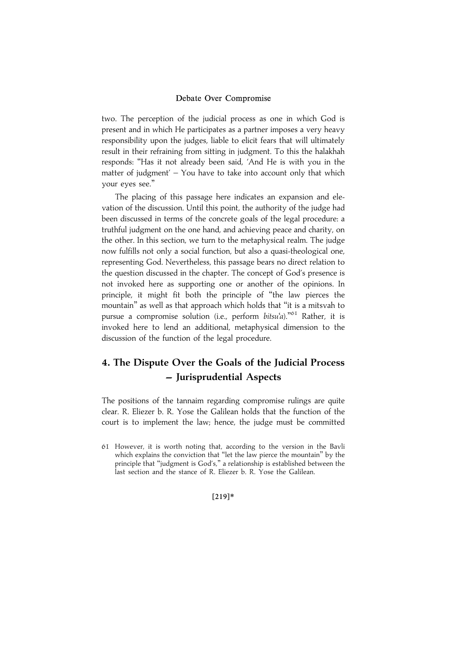two. The perception of the judicial process as one in which God is present and in which He participates as a partner imposes a very heavy responsibility upon the judges, liable to elicit fears that will ultimately result in their refraining from sitting in judgment. To this the halakhah responds: ''Has it not already been said, 'And He is with you in the matter of judgment'  $-$  You have to take into account only that which your eyes see.''

The placing of this passage here indicates an expansion and elevation of the discussion. Until this point, the authority of the judge had been discussed in terms of the concrete goals of the legal procedure: a truthful judgment on the one hand, and achieving peace and charity, on the other. In this section, we turn to the metaphysical realm. The judge now fulfills not only a social function, but also a quasi-theological one, representing God. Nevertheless, this passage bears no direct relation to the question discussed in the chapter. The concept of God's presence is not invoked here as supporting one or another of the opinions. In principle, it might fit both the principle of ''the law pierces the mountain'' as well as that approach which holds that ''it is a mitsvah to pursue a compromise solution (i.e., perform bitsu'a)."<sup>61</sup> Rather, it is invoked here to lend an additional, metaphysical dimension to the discussion of the function of the legal procedure.

# 4. The Dispute Over the Goals of the Judicial Process -Jurisprudential Aspects

The positions of the tannaim regarding compromise rulings are quite clear. R. Eliezer b. R. Yose the Galilean holds that the function of the court is to implement the law; hence, the judge must be committed

#### |219~\*

<sup>61</sup> However, it is worth noting that, according to the version in the Bavli which explains the conviction that ''let the law pierce the mountain'' by the principle that ''judgment is God's,'' a relationship is established between the last section and the stance of R. Eliezer b. R. Yose the Galilean.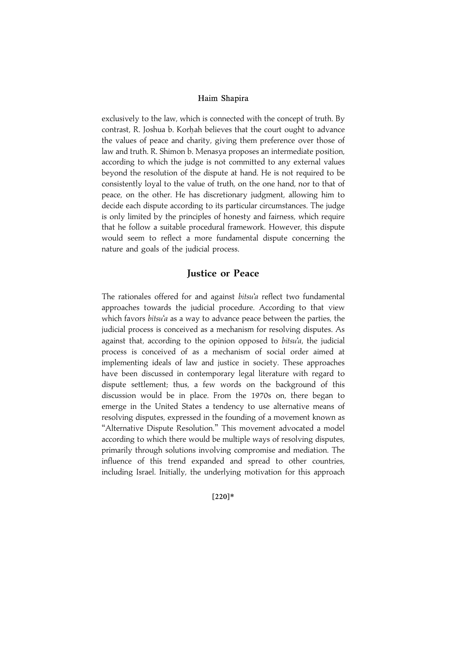exclusively to the law, which is connected with the concept of truth. By contrast, R. Joshua b. Korhah believes that the court ought to advance the values of peace and charity, giving them preference over those of law and truth. R. Shimon b. Menasya proposes an intermediate position, according to which the judge is not committed to any external values beyond the resolution of the dispute at hand. He is not required to be consistently loyal to the value of truth, on the one hand, nor to that of peace, on the other. He has discretionary judgment, allowing him to decide each dispute according to its particular circumstances. The judge is only limited by the principles of honesty and fairness, which require that he follow a suitable procedural framework. However, this dispute would seem to reflect a more fundamental dispute concerning the nature and goals of the judicial process.

## Justice or Peace

The rationales offered for and against bitsu'a reflect two fundamental approaches towards the judicial procedure. According to that view which favors *bitsu'a* as a way to advance peace between the parties, the judicial process is conceived as a mechanism for resolving disputes. As against that, according to the opinion opposed to bitsu'a, the judicial process is conceived of as a mechanism of social order aimed at implementing ideals of law and justice in society. These approaches have been discussed in contemporary legal literature with regard to dispute settlement; thus, a few words on the background of this discussion would be in place. From the 1970s on, there began to emerge in the United States a tendency to use alternative means of resolving disputes, expressed in the founding of a movement known as "Alternative Dispute Resolution." This movement advocated a model according to which there would be multiple ways of resolving disputes, primarily through solutions involving compromise and mediation. The influence of this trend expanded and spread to other countries, including Israel. Initially, the underlying motivation for this approach

#### $[220]*$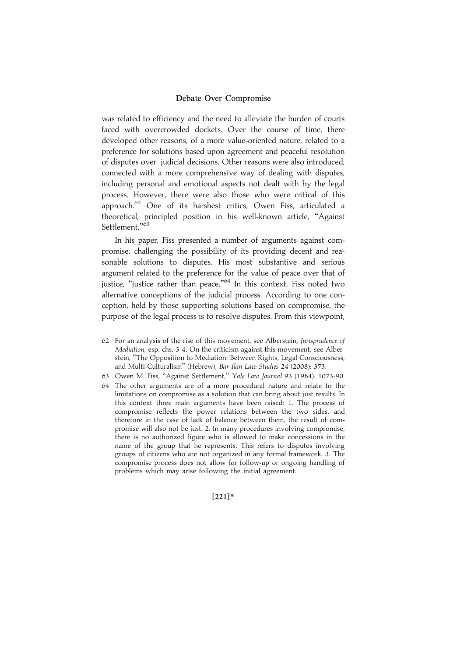was related to efficiency and the need to alleviate the burden of courts faced with overcrowded dockets. Over the course of time, there developed other reasons, of a more value-oriented nature, related to a preference for solutions based upon agreement and peaceful resolution of disputes over judicial decisions. Other reasons were also introduced, connected with a more comprehensive way of dealing with disputes, including personal and emotional aspects not dealt with by the legal process. However, there were also those who were critical of this approach.<sup>62</sup> One of its harshest critics, Owen Fiss, articulated a theoretical, principled position in his well-known article, ''Against Settlement."<sup>63</sup>

In his paper, Fiss presented a number of arguments against compromise, challenging the possibility of its providing decent and reasonable solutions to disputes. His most substantive and serious argument related to the preference for the value of peace over that of justice, "justice rather than peace."<sup>64</sup> In this context, Fiss noted two alternative conceptions of the judicial process. According to one conception, held by those supporting solutions based on compromise, the purpose of the legal process is to resolve disputes. From this viewpoint,

- 62 For an analysis of the rise of this movement, see Alberstein, Jurisprudence of Mediation, esp. chs. 3-4. On the criticism against this movement, see Alberstein, ''The Opposition to Mediation: Between Rights, Legal Consciousness, and Multi-Culturalism'' (Hebrew), Bar-Ilan Law Studies 24 (2008): 373.
- 63 Owen M. Fiss, ''Against Settlement,'' Yale Law Journal 93 (1984): 1073-90.
- 64 The other arguments are of a more procedural nature and relate to the limitations on compromise as a solution that can bring about just results. In this context three main arguments have been raised: 1. The process of compromise reflects the power relations between the two sides, and therefore in the case of lack of balance between them, the result of compromise will also not be just. 2. In many procedures involving compromise, there is no authorized figure who is allowed to make concessions in the name of the group that he represents. This refers to disputes involving groups of citizens who are not organized in any formal framework. 3. The compromise process does not allow for follow-up or ongoing handling of problems which may arise following the initial agreement.

#### $[221]*$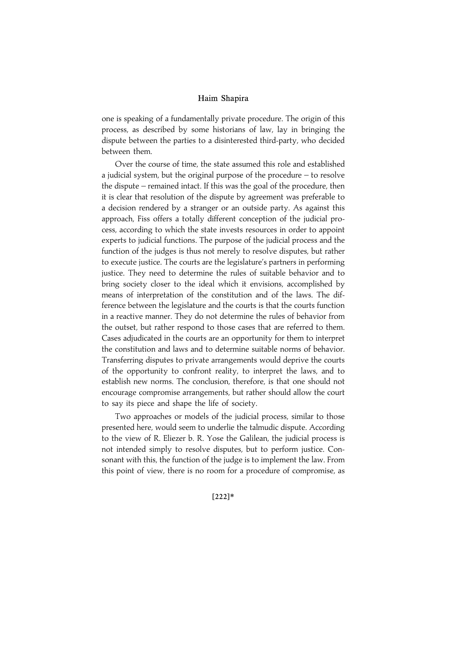one is speaking of a fundamentally private procedure. The origin of this process, as described by some historians of law, lay in bringing the dispute between the parties to a disinterested third-party, who decided between them.

Over the course of time, the state assumed this role and established a judicial system, but the original purpose of the procedure – to resolve the dispute – remained intact. If this was the goal of the procedure, then it is clear that resolution of the dispute by agreement was preferable to a decision rendered by a stranger or an outside party. As against this approach, Fiss offers a totally different conception of the judicial process, according to which the state invests resources in order to appoint experts to judicial functions. The purpose of the judicial process and the function of the judges is thus not merely to resolve disputes, but rather to execute justice. The courts are the legislature's partners in performing justice. They need to determine the rules of suitable behavior and to bring society closer to the ideal which it envisions, accomplished by means of interpretation of the constitution and of the laws. The difference between the legislature and the courts is that the courts function in a reactive manner. They do not determine the rules of behavior from the outset, but rather respond to those cases that are referred to them. Cases adjudicated in the courts are an opportunity for them to interpret the constitution and laws and to determine suitable norms of behavior. Transferring disputes to private arrangements would deprive the courts of the opportunity to confront reality, to interpret the laws, and to establish new norms. The conclusion, therefore, is that one should not encourage compromise arrangements, but rather should allow the court to say its piece and shape the life of society.

Two approaches or models of the judicial process, similar to those presented here, would seem to underlie the talmudic dispute. According to the view of R. Eliezer b. R. Yose the Galilean, the judicial process is not intended simply to resolve disputes, but to perform justice. Consonant with this, the function of the judge is to implement the law. From this point of view, there is no room for a procedure of compromise, as

 $[222]*$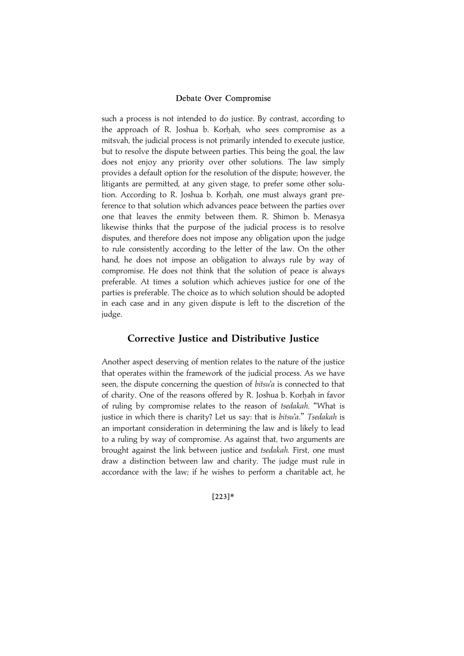such a process is not intended to do justice. By contrast, according to the approach of R. Joshua b. Korhah, who sees compromise as a mitsvah, the judicial process is not primarily intended to execute justice, but to resolve the dispute between parties. This being the goal, the law does not enjoy any priority over other solutions. The law simply provides a default option for the resolution of the dispute; however, the litigants are permitted, at any given stage, to prefer some other solution. According to R. Joshua b. Korhah, one must always grant preference to that solution which advances peace between the parties over one that leaves the enmity between them. R. Shimon b. Menasya likewise thinks that the purpose of the judicial process is to resolve disputes, and therefore does not impose any obligation upon the judge to rule consistently according to the letter of the law. On the other hand, he does not impose an obligation to always rule by way of compromise. He does not think that the solution of peace is always preferable. At times a solution which achieves justice for one of the parties is preferable. The choice as to which solution should be adopted in each case and in any given dispute is left to the discretion of the judge.

## Corrective Justice and Distributive Justice

Another aspect deserving of mention relates to the nature of the justice that operates within the framework of the judicial process. As we have seen, the dispute concerning the question of bitsu'a is connected to that of charity. One of the reasons offered by R. Joshua b. Korhah in favor of ruling by compromise relates to the reason of tsedakah. ''What is justice in which there is charity? Let us say: that is bitsu'a." Tsedakah is an important consideration in determining the law and is likely to lead to a ruling by way of compromise. As against that, two arguments are brought against the link between justice and *tsedakah*. First, one must draw a distinction between law and charity. The judge must rule in accordance with the law; if he wishes to perform a charitable act, he

#### $[223]*$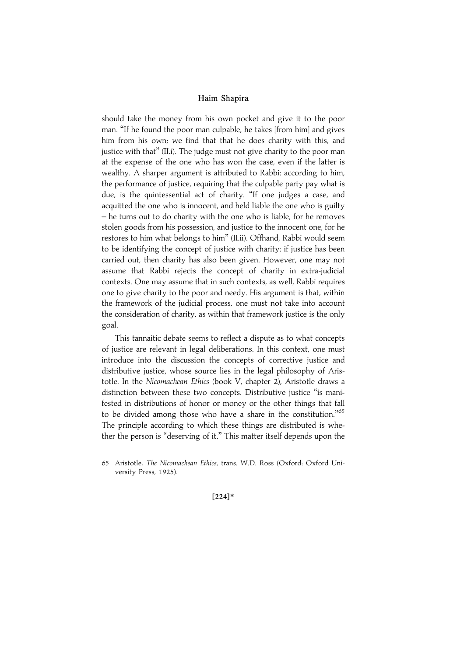should take the money from his own pocket and give it to the poor man. ''If he found the poor man culpable, he takes [from him] and gives him from his own; we find that that he does charity with this, and justice with that'' (II.i). The judge must not give charity to the poor man at the expense of the one who has won the case, even if the latter is wealthy. A sharper argument is attributed to Rabbi: according to him, the performance of justice, requiring that the culpable party pay what is due, is the quintessential act of charity. ''If one judges a case, and acquitted the one who is innocent, and held liable the one who is guilty – he turns out to do charity with the one who is liable, for he removes stolen goods from his possession, and justice to the innocent one, for he restores to him what belongs to him'' (II.ii). Offhand, Rabbi would seem to be identifying the concept of justice with charity: if justice has been carried out, then charity has also been given. However, one may not assume that Rabbi rejects the concept of charity in extra-judicial contexts. One may assume that in such contexts, as well, Rabbi requires one to give charity to the poor and needy. His argument is that, within the framework of the judicial process, one must not take into account the consideration of charity, as within that framework justice is the only goal.

This tannaitic debate seems to reflect a dispute as to what concepts of justice are relevant in legal deliberations. In this context, one must introduce into the discussion the concepts of corrective justice and distributive justice, whose source lies in the legal philosophy of Aristotle. In the Nicomachean Ethics (book V, chapter 2), Aristotle draws a distinction between these two concepts. Distributive justice ''is manifested in distributions of honor or money or the other things that fall to be divided among those who have a share in the constitution."<sup>65</sup> The principle according to which these things are distributed is whether the person is ''deserving of it.'' This matter itself depends upon the

#### $[224]*$

<sup>65</sup> Aristotle, The Nicomachean Ethics, trans. W.D. Ross (Oxford: Oxford University Press, 1925).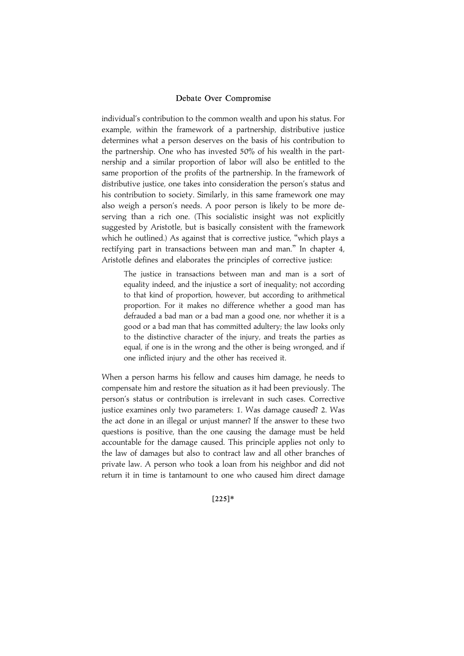individual's contribution to the common wealth and upon his status. For example, within the framework of a partnership, distributive justice determines what a person deserves on the basis of his contribution to the partnership. One who has invested 50% of his wealth in the partnership and a similar proportion of labor will also be entitled to the same proportion of the profits of the partnership. In the framework of distributive justice, one takes into consideration the person's status and his contribution to society. Similarly, in this same framework one may also weigh a person's needs. A poor person is likely to be more deserving than a rich one. (This socialistic insight was not explicitly suggested by Aristotle, but is basically consistent with the framework which he outlined.) As against that is corrective justice, "which plays a rectifying part in transactions between man and man.'' In chapter 4, Aristotle defines and elaborates the principles of corrective justice:

The justice in transactions between man and man is a sort of equality indeed, and the injustice a sort of inequality; not according to that kind of proportion, however, but according to arithmetical proportion. For it makes no difference whether a good man has defrauded a bad man or a bad man a good one, nor whether it is a good or a bad man that has committed adultery; the law looks only to the distinctive character of the injury, and treats the parties as equal, if one is in the wrong and the other is being wronged, and if one inflicted injury and the other has received it.

When a person harms his fellow and causes him damage, he needs to compensate him and restore the situation as it had been previously. The person's status or contribution is irrelevant in such cases. Corrective justice examines only two parameters: 1. Was damage caused? 2. Was the act done in an illegal or unjust manner? If the answer to these two questions is positive, than the one causing the damage must be held accountable for the damage caused. This principle applies not only to the law of damages but also to contract law and all other branches of private law. A person who took a loan from his neighbor and did not return it in time is tantamount to one who caused him direct damage

#### $[225]*$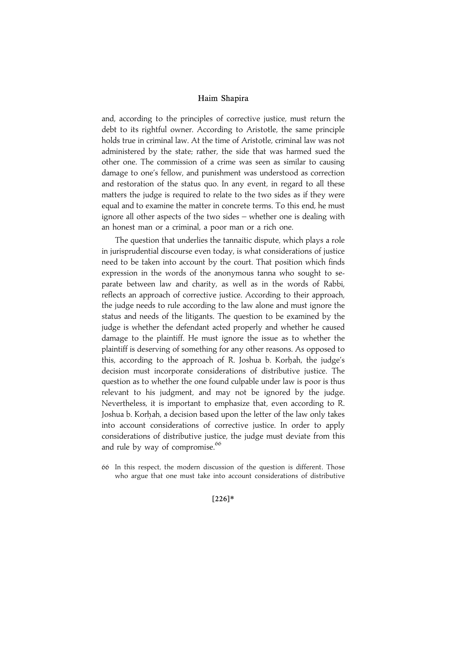and, according to the principles of corrective justice, must return the debt to its rightful owner. According to Aristotle, the same principle holds true in criminal law. At the time of Aristotle, criminal law was not administered by the state; rather, the side that was harmed sued the other one. The commission of a crime was seen as similar to causing damage to one's fellow, and punishment was understood as correction and restoration of the status quo. In any event, in regard to all these matters the judge is required to relate to the two sides as if they were equal and to examine the matter in concrete terms. To this end, he must ignore all other aspects of the two sides – whether one is dealing with an honest man or a criminal, a poor man or a rich one.

The question that underlies the tannaitic dispute, which plays a role in jurisprudential discourse even today, is what considerations of justice need to be taken into account by the court. That position which finds expression in the words of the anonymous tanna who sought to separate between law and charity, as well as in the words of Rabbi, reflects an approach of corrective justice. According to their approach, the judge needs to rule according to the law alone and must ignore the status and needs of the litigants. The question to be examined by the judge is whether the defendant acted properly and whether he caused damage to the plaintiff. He must ignore the issue as to whether the plaintiff is deserving of something for any other reasons. As opposed to this, according to the approach of R. Joshua b. Korhah, the judge's decision must incorporate considerations of distributive justice. The question as to whether the one found culpable under law is poor is thus relevant to his judgment, and may not be ignored by the judge. Nevertheless, it is important to emphasize that, even according to R. Joshua b. Korhah, a decision based upon the letter of the law only takes into account considerations of corrective justice. In order to apply considerations of distributive justice, the judge must deviate from this and rule by way of compromise.<sup>66</sup>

66 In this respect, the modern discussion of the question is different. Those who argue that one must take into account considerations of distributive

 $[226]*$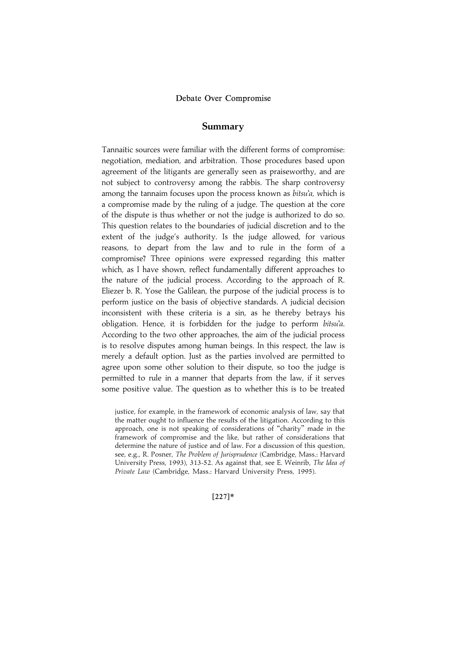## Summary

Tannaitic sources were familiar with the different forms of compromise: negotiation, mediation, and arbitration. Those procedures based upon agreement of the litigants are generally seen as praiseworthy, and are not subject to controversy among the rabbis. The sharp controversy among the tannaim focuses upon the process known as *bitsu'a*, which is a compromise made by the ruling of a judge. The question at the core of the dispute is thus whether or not the judge is authorized to do so. This question relates to the boundaries of judicial discretion and to the extent of the judge's authority. Is the judge allowed, for various reasons, to depart from the law and to rule in the form of a compromise? Three opinions were expressed regarding this matter which, as I have shown, reflect fundamentally different approaches to the nature of the judicial process. According to the approach of R. Eliezer b. R. Yose the Galilean, the purpose of the judicial process is to perform justice on the basis of objective standards. A judicial decision inconsistent with these criteria is a sin, as he thereby betrays his obligation. Hence, it is forbidden for the judge to perform bitsu'a. According to the two other approaches, the aim of the judicial process is to resolve disputes among human beings. In this respect, the law is merely a default option. Just as the parties involved are permitted to agree upon some other solution to their dispute, so too the judge is permitted to rule in a manner that departs from the law, if it serves some positive value. The question as to whether this is to be treated

 $[227]*$ 

justice, for example, in the framework of economic analysis of law, say that the matter ought to influence the results of the litigation. According to this approach, one is not speaking of considerations of ''charity'' made in the framework of compromise and the like, but rather of considerations that determine the nature of justice and of law. For a discussion of this question, see, e.g., R. Posner, The Problem of Jurisprudence (Cambridge, Mass.: Harvard University Press, 1993), 313-52. As against that, see E. Weinrib, The Idea of Private Law (Cambridge, Mass.: Harvard University Press, 1995).